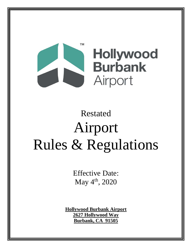

# Restated Airport Rules & Regulations

Effective Date: May  $4^{\text{th}}$ , 2020

**Hollywood Burbank Airport 2627 Hollywood Way Burbank, CA 91505**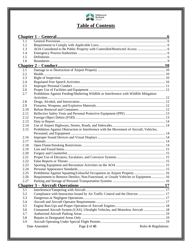

## **Table of Contents**

| 1.1  |                                                                                          |                     |
|------|------------------------------------------------------------------------------------------|---------------------|
| 1.2  |                                                                                          |                     |
| 1.3  |                                                                                          |                     |
| 1.4  |                                                                                          |                     |
| 1.5  |                                                                                          |                     |
| 1.6  |                                                                                          |                     |
|      |                                                                                          |                     |
| 2.1  |                                                                                          |                     |
| 2.2  |                                                                                          |                     |
| 2.3  |                                                                                          |                     |
| 2.4  |                                                                                          |                     |
| 2.5  |                                                                                          |                     |
| 2.6  |                                                                                          |                     |
| 2.7  | Prohibition Against Feeding/Sheltering Wildlife or Interference with Wildlife Mitigation |                     |
|      |                                                                                          |                     |
| 2.8  |                                                                                          |                     |
| 2.9  |                                                                                          |                     |
| 2.10 |                                                                                          |                     |
| 2.11 |                                                                                          |                     |
| 2.12 |                                                                                          |                     |
| 2.13 |                                                                                          |                     |
| 2.14 |                                                                                          |                     |
| 2.15 | Prohibition Against Obstruction or Interference with the Movement of Aircraft, Vehicles, |                     |
|      |                                                                                          |                     |
| 2.16 |                                                                                          |                     |
| 2.17 |                                                                                          |                     |
| 2.18 |                                                                                          |                     |
| 2.19 |                                                                                          |                     |
| 2.20 |                                                                                          |                     |
| 2.21 |                                                                                          |                     |
| 2.22 |                                                                                          |                     |
| 2.23 |                                                                                          |                     |
| 2.24 |                                                                                          |                     |
| 2.25 |                                                                                          |                     |
| 2.26 | Requirement to Remove Derelict, Non-Functional, or Unsafe Vehicles or Equipment 16       |                     |
| 2.27 |                                                                                          |                     |
|      |                                                                                          |                     |
| 3.1  |                                                                                          |                     |
| 3.2  | Compliance with Instruction Issued by Air Traffic Control and the Director  17           |                     |
| 3.3  |                                                                                          |                     |
| 3.4  |                                                                                          |                     |
| 3.5  |                                                                                          |                     |
| 3.6  | Unmanned Aircraft System (UAS), Ultralight Vehicles, and Motorless Aircraft  18          |                     |
| 3.7  |                                                                                          |                     |
| 3.8  |                                                                                          |                     |
| 3.9  |                                                                                          |                     |
|      | Date Amended:<br>Page 2 of 45                                                            | Rules & Regulations |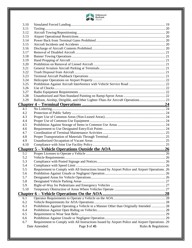

| 3.10       |                                                                                                 |  |
|------------|-------------------------------------------------------------------------------------------------|--|
| 3.11       |                                                                                                 |  |
| 3.12       |                                                                                                 |  |
| 3.13       |                                                                                                 |  |
| 3.14       |                                                                                                 |  |
| 3.15       |                                                                                                 |  |
| 3.16       |                                                                                                 |  |
| 3.17       |                                                                                                 |  |
| 3.18       |                                                                                                 |  |
| 3.19       |                                                                                                 |  |
| 3.20       |                                                                                                 |  |
| 3.21       |                                                                                                 |  |
| 3.22       |                                                                                                 |  |
| 3.23       |                                                                                                 |  |
| 3.24       |                                                                                                 |  |
| 3.25       |                                                                                                 |  |
| 3.26       |                                                                                                 |  |
| 3.27       |                                                                                                 |  |
| 3.28       |                                                                                                 |  |
| 3.29       | Balloon, Airship, Dirigible, and Other Lighter-Than-Air Aircraft Operations 23                  |  |
|            |                                                                                                 |  |
| 4.1        |                                                                                                 |  |
| 4.2        |                                                                                                 |  |
| 4.3        |                                                                                                 |  |
| 4.4        |                                                                                                 |  |
| 4.5        |                                                                                                 |  |
| 4.6        |                                                                                                 |  |
| 4.7        |                                                                                                 |  |
| 4.8        |                                                                                                 |  |
| 4.9        |                                                                                                 |  |
| 4.10       |                                                                                                 |  |
|            |                                                                                                 |  |
|            |                                                                                                 |  |
| 5.1        |                                                                                                 |  |
| 5.2        |                                                                                                 |  |
| 5.3        |                                                                                                 |  |
| 5.4        | Requirement to Comply with All Instructions Issued by Airport Police and Airport Operations. 26 |  |
| 5.5<br>5.6 |                                                                                                 |  |
| 5.7        |                                                                                                 |  |
| 5.8        |                                                                                                 |  |
| 5.9        |                                                                                                 |  |
| 5.10       |                                                                                                 |  |
|            |                                                                                                 |  |
|            |                                                                                                 |  |
| 6.1        |                                                                                                 |  |
| 6.2        |                                                                                                 |  |
| 6.3        | Prohibition Against Operating a Vehicle in a Manner Other than Originally Intended  28          |  |
| 6.4        |                                                                                                 |  |
| 6.5        |                                                                                                 |  |
| 6.6<br>6.7 | Requirement to Comply with All Instructions Issued by Airport Police and Airport Operations. 29 |  |
|            | Page 3 of 45<br>Date Amended:                                                                   |  |
|            | Rules & Regulations                                                                             |  |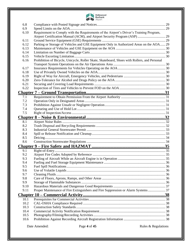

| 6.8          |                                                                                              |  |
|--------------|----------------------------------------------------------------------------------------------|--|
| 6.9<br>6.10  | Requirement to Comply with the Requirements of the Airport's Driver's Training Program,      |  |
|              |                                                                                              |  |
| 6.11         |                                                                                              |  |
| 6.12         | Parking or Storage of Vehicles and GSE Equipment Only in Authorized Areas on the AOA 29      |  |
| 6.13         |                                                                                              |  |
| 6.14         |                                                                                              |  |
| 6.15         |                                                                                              |  |
| 6.16         | Prohibition of Bicycle, Unicycle, Roller Skate, Skateboard, Shoes with Rollers, and Personal |  |
|              |                                                                                              |  |
| 6.17         |                                                                                              |  |
| 6.18         |                                                                                              |  |
| 6.19         |                                                                                              |  |
| 6.20         |                                                                                              |  |
| 6.21         |                                                                                              |  |
| 6.22         |                                                                                              |  |
|              |                                                                                              |  |
| 7.1          |                                                                                              |  |
| 7.2          |                                                                                              |  |
| 7.3          |                                                                                              |  |
| 7.4          |                                                                                              |  |
| 7.5          |                                                                                              |  |
|              |                                                                                              |  |
| 8.1          |                                                                                              |  |
| 8.2          |                                                                                              |  |
|              |                                                                                              |  |
| 8.3          |                                                                                              |  |
| 8.4          |                                                                                              |  |
| 8.5          |                                                                                              |  |
| 8.6          |                                                                                              |  |
|              |                                                                                              |  |
| 9.1          |                                                                                              |  |
| 9.2          |                                                                                              |  |
| 9.3          |                                                                                              |  |
| 9.4          |                                                                                              |  |
| 9.5          |                                                                                              |  |
| 9.6          |                                                                                              |  |
| 9.7          |                                                                                              |  |
| 9.8          |                                                                                              |  |
| 9.9          |                                                                                              |  |
| 9.10         |                                                                                              |  |
| 9.11         | Proper Maintenance of Fire Extinguishers and Fire Suppression or Alarm Systems 37            |  |
|              |                                                                                              |  |
| 10.1         |                                                                                              |  |
| 10.2         |                                                                                              |  |
| 10.3         |                                                                                              |  |
| 10.4         |                                                                                              |  |
| 10.5<br>10.6 |                                                                                              |  |

Date Amended: Page 4 of 45 Rules & Regulations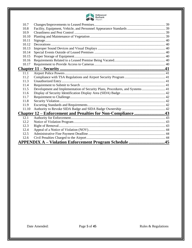

| 10.7  |                                                                              |  |
|-------|------------------------------------------------------------------------------|--|
| 10.8  |                                                                              |  |
| 10.9  |                                                                              |  |
| 10.10 |                                                                              |  |
| 10.11 |                                                                              |  |
| 10.12 |                                                                              |  |
| 10.13 |                                                                              |  |
| 10.14 |                                                                              |  |
| 10.15 |                                                                              |  |
| 10.16 |                                                                              |  |
| 10.17 |                                                                              |  |
|       |                                                                              |  |
| 11.1  |                                                                              |  |
| 11.2  |                                                                              |  |
| 11.3  |                                                                              |  |
| 11.4  |                                                                              |  |
| 11.5  | Development and Implementation of Security Plans, Procedures, and Systems 41 |  |
| 11.6  |                                                                              |  |
| 11.7  |                                                                              |  |
| 11.8  |                                                                              |  |
| 11.9  |                                                                              |  |
| 11.10 |                                                                              |  |
|       | <u><b>Chapter 12 – Enforcement and Penalties for Non-Compliance 43</b></u>   |  |
| 12.1  |                                                                              |  |
| 12.2  |                                                                              |  |
| 12.3  |                                                                              |  |
| 12.4  |                                                                              |  |
| 12.5  |                                                                              |  |
| 12.6  |                                                                              |  |
|       | <b>APPENDIX A – Violation Enforcement Program Schedule 45</b>                |  |

Date Amended: Page 5 of 45 Rules & Regulations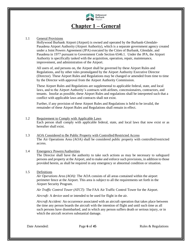

#### <span id="page-5-1"></span><span id="page-5-0"></span>1.1 General Provisions

Hollywood Burbank Airport (Airport) is owned and operated by the Burbank-Glendale-Pasadena Airport Authority (Airport Authority), which is a separate government agency created under a Joint Powers Agreement (JPA) executed by the Cities of Burbank, Glendale, and Pasadena in 1977 pursuant to Government Code Section 6546.1. Under the JPA, the Airport Authority is specifically tasked with the acquisition, operation, repair, maintenance, improvement, and administration of the Airport.

All users of, and persons on, the Airport shall be governed by these Airport Rules and Regulations, and by other rules promulgated by the Airport Authority Executive Director (Director). These Airport Rules and Regulations may be changed or amended from time to time by the Director with approval from the Airport Authority Commission.

These Airport Rules and Regulations are supplemental to applicable federal, state, and local laws, and to the Airport Authority's contracts with airlines, concessionaires, contractors, and tenants. Insofar as possible, these Airport Rules and regulations shall be interpreted such that a conflict with applicable laws and contracts shall not exist.

Further, if any provision of these Airport Rules and Regulations is held to be invalid, the remainder of these Airport Rules and Regulations shall remain in effect.

- <span id="page-5-2"></span>1.2 Requirement to Comply with Applicable Laws Each person shall comply with applicable federal, state, and local laws that now exist or as hereafter shall exist.
- <span id="page-5-3"></span>1.3 AOA Considered to Be Public Property with Controlled/Restricted Access The Air Operations Area (AOA) shall be considered public property with controlled/restricted access.

#### <span id="page-5-4"></span>1.4 Emergency Powers/Authorities

The Director shall have the authority to take such actions as may be necessary to safeguard persons and property at the Airport, and to make and enforce such provisions, in addition to those provided herein, as shall be required in any emergency or abnormal condition or situation.

<span id="page-5-5"></span>1.5 Definitions

*Air Operations Area (AOA):* The AOA consists of all areas contained within the airport perimeter fence at the Airport. This area is subject to all the requirements set forth in the Airport Security Program.

*Air Traffic Control Tower (ATCT):* The FAA Air Traffic Control Tower for the Airport.

*Aircraft:* A device used or intended to be used for flight in the air.

*Aircraft Accident:* An occurrence associated with an aircraft operation that takes place between the time any person boards the aircraft with the intention of flight and until such time as all such persons have disembarked, and in which any person suffers death or serious injury, or in which the aircraft receives substantial damage.

Date Amended: Page 6 of 45 Rules & Regulations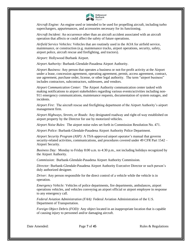

*Aircraft Engine:* An engine used or intended to be used for propelling aircraft, including turbo superchargers, appurtenances, and accessories necessary for its functioning.

*Aircraft Incident:* An occurrence other than an aircraft accident associated with an aircraft operation that affects or could affect the safety of future operations.

*Airfield Service Vehicles:* Vehicles that are routinely used in the AOA for airfield service, maintenance, or construction (e.g. maintenance trucks, airport operations, security, safety, airport police, aircraft rescue and firefighting, and tractors).

*Airport:* Hollywood Burbank Airport.

*Airport Authority:* Burbank-Glendale-Pasadena Airport Authority.

*Airport Business:* Any person that operates a business or not-for-profit activity at the Airport under a lease, concession agreement, operating agreement, permit, access agreement, contract, use agreement, purchase order, license, or other legal authority. The term "airport business" includes contractors, subcontractors, sublessees, and vendors.

*Airport Communication Center:* The Airport Authority communication center tasked with making notifications to airport stakeholders regarding various events/activities including non-911 emergency communications, maintenance requests, documentation of system outages, and incidents.

*Airport Fire*: The aircraft rescue and firefighting department of the Airport Authority's airport management firm.

*Airport Highways, Streets, or Roads:* Any designated roadway and right-of-way established on airport property by the Director for use by motorized vehicles.

*Airport Noise Rules*: The airport noise rules set forth in Commission Resolution No. 471.

*Airport Police:* Burbank-Glendale-Pasadena Airport Authority Police Department.

*Airport Security Program (ASP):* A TSA-approved airport operator's manual that governs security-related activities, communications, and procedures covered under 49 CFR Part 1542 – Airport Security.

*Business Day:* Monday to Friday 8:00 a.m. to 4:30 p.m., not including holidays recognized by the Airport Authority.

*Commission*: Burbank-Glendale-Pasadena Airport Authority Commission.

*Director:* Burbank-Glendale-Pasadena Airport Authority Executive Director or such person's duly authorized designee.

*Driver:* Any person responsible for the direct control of a vehicle while the vehicle is in operation.

*Emergency Vehicle:* Vehicles of police departments, fire departments, ambulances, airport operations vehicles, and vehicles conveying an airport official or airport employee in response to any emergency call.

*Federal Aviation Administration (FAA):* Federal Aviation Administration of the U.S. Department of Transportation.

*Foreign Object Debris (FOD):* Any object located in an inappropriate location that is capable of causing injury to personnel and/or damaging aircraft.

Date Amended: Page 7 of 45 Rules & Regulations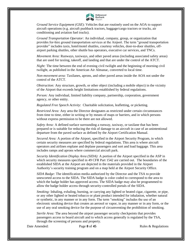

*Ground Service Equipment (GSE*): Vehicles that are routinely used on the AOA to support aircraft operations (e.g. aircraft pushback tractors, baggage/cargo tractors or trucks, air conditioning and aviation fuel trucks).

*Ground Transportation Operator:* An individual, company, group, or organization that provides for-hire ground transportation services at the Airport. The term "ground transportation provider" includes taxis, hotel/motel shuttles, courtesy vehicles, door-to-door shuttles, offairport parking shuttles, other shuttle bus operators, executive car services, and TNCs.

*Movement Area:* Runways, taxiways, and other paved areas (including associated safety areas) that are used for taxiing, takeoff, and landing and that are under the control of the ATCT.

*Night:* The time between the end of evening civil twilight and the beginning of morning civil twilight, as published in the American Air Almanac, converted to local time.

*Non-movement area:* Taxilanes, aprons, and other paved areas inside the AOA not under the control of the ATCT.

*Obstruction:* Any structure, growth, or other object (including a mobile object) in the vicinity of the Airport that exceeds height limitations established by federal regulations.

*Person:* Any individual, limited liability company, partnership, corporation, government agency, or other entity.

*Regulated Free Speech Activity*: Charitable solicitation, leafletting, or picketing.

*Restricted Area:* Any area the Director designates as restricted under certain circumstances from time to time, either in writing or by means of maps or barriers, and in which persons without express permission to be there are not allowed.

*Safety Area:* A defined surface surrounding a runway, taxiway, or taxilane that has been prepared or is suitable for reducing the risk of damage to an aircraft in case of an unintentional departure from the paved surface as defined by the Airport Certification Manual.

*Secured Area:* A portion of the Airport, specified in the Airport Security Program, in which certain security measures are specified by federal regulations. This area is where aircraft operators and airlines enplane and deplane passengers and sort and load baggage. This area includes ramps and aprons where commercial aircraft park.

*Security Identification Display Area (SIDA):* A portion of the Airport specified in the ASP in which security measures specified in [49](file:///C:/Documents%20and%20Settings/np13743/My%20Documents/level2/PTICH_ARTVADSE.docx%23PTICH_ARTVADSE_S49BOCOCOAU) CFR Part 1542 are carried out. The boundaries of the established SIDA at the Airport are depicted in the materials provided in the Airport Authority's security training program and on a map held at the Airport Security Office.

*SIDA Badge:* The identification media authorized by the Director and the TSA to provide unescorted access to the SIDA. The SIDA badge is color coded to correspond to the area to which the badge holder has approved access. The SIDA badge may also be programmed to allow the badge holder access through security-controlled portals of the SIDA.

*Smoking:* Inhaling, exhaling, burning, or carrying any lighted or heated cigar, cigarette, or pipe, or any other lighted or heated tobacco or plant product intended for inhalation, whether natural or synthetic, in any manner or in any form. The term "smoking" includes the use of an electronic smoking device that creates an aerosol or vapor, in any manner or in any form, or the use of any oral smoking device for the purpose of circumventing the prohibition of smoking.

*Sterile Area:* The area beyond the airport passenger security checkpoints that provides passengers access to board aircraft and to which access generally is regulated by the TSA, through the screening of persons and property.

Date Amended: Page 8 of 45 Rules & Regulations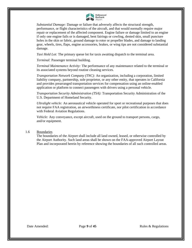

*Substantial Damage:* Damage or failure that adversely affects the structural strength, performance, or flight characteristics of the aircraft, and that would normally require major repair or replacement of the affected component. Engine failure or damage limited to an engine if only one engine fails or is damaged, bent fairings or cowling, dented skin, small puncture holes in the skin or fabric, ground damage to rotor or propeller blades, and damage to landing gear, wheels, tires, flaps, engine accessories, brakes, or wing tips are not considered substantial damage.

*Taxi Hold Lot:* The primary queue lot for taxis awaiting dispatch to the terminal area.

*Terminal:* Passenger terminal building.

*Terminal Maintenance Activity:* The performance of any maintenance related to the terminal or its associated systems beyond routine cleaning services.

*Transportation Network Company (TNC):* An organization, including a corporation, limited liability company, partnership, sole proprietor, or any other entity, that operates in California and provides prearranged transportation services for compensation using an online-enabled application or platform to connect passengers with drivers using a personal vehicle.

*Transportation Security Administration (TSA):* Transportation Security Administration of the U.S. Department of Homeland Security.

*Ultralight vehicle:* An aeronautical vehicle operated for sport or recreational purposes that does not require FAA registration, an airworthiness certificate, nor pilot certification in accordance with Federal Aviation Regulations.

*Vehicle:* Any conveyance, except aircraft, used on the ground to transport persons, cargo, and/or equipment.

#### <span id="page-8-0"></span>1.6 Boundaries

The boundaries of the Airport shall include all land owned, leased, or otherwise controlled by the Airport Authority. Such land areas shall be shown on the FAA-approved Airport Layout Plan and incorporated herein by reference showing the boundaries of all such controlled areas.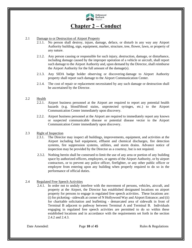

#### <span id="page-9-0"></span>2.1 Damage to or Destruction of Airport Property

- <span id="page-9-1"></span>2.1.1. No person shall destroy, injure, damage, deface, or disturb in any way any Airport Authority building, sign, equipment, marker, structure, tree, flower, lawn, or property of any nature.
- 2.1.2. Any person causing or responsible for such injury, destruction, damage, or disturbance, including damage caused by the improper operation of a vehicle or aircraft, shall report such damage to the Airport Authority and, upon demand by the Director, shall reimburse the Airport Authority for the full amount of the damage(s).
- 2.1.3. Any SIDA badge holder observing or discovering damage to Airport Authority property shall report such damage to the Airport Communication Center.
- 2.1.4. The cost of repair or replacement necessitated by any such damage or destruction shall be ascertained by the Director.

#### <span id="page-9-2"></span>2.2 Health

- 2.2.1. Airport business personnel at the Airport are required to report any potential health hazards (e.g. blood/blood stains, unprotected syringes, etc.) to the Airport Communication Center immediately upon discovery.
- 2.2.2. Airport business personnel at the Airport are required to immediately report any known or suspected communicable disease or potential disease vector to the Airport Communication Center immediately upon discovery.

#### <span id="page-9-3"></span>2.3 Right of Inspection

- 2.3.1. The Director may inspect all buildings, improvements, equipment, and activities at the Airport including fuel equipment, effluent and chemical discharges, fire detection systems, fire suppression systems, utilities, and storm drains. Advance notice of inspection may be provided by the Director as a courtesy, but is not required.
- 2.3.2. Nothing herein shall be construed to limit the use of any area or portion of any building space by authorized officers, employees, or agents of the Airport Authority, or by airport contractors, or to prevent any police officer, firefighter, or any other public officer or employee from entering upon any building when properly required to do so in the performance of official duties.

#### <span id="page-9-4"></span>2.4 Regulated Free Speech Activities

2.4.1. In order not to unduly interfere with the movement of persons, vehicles, aircraft, and property at the Airport, the Director has established designated locations on airport property for persons to engage in regulated free speech activities. These locations are: (i) for picketing - sidewalk at corner of N Hollywood Way and Airport Entrance; and (ii) for charitable solicitation and leafletting - demarcated area of sidewalk in front of Terminal B adjacent to pathway between Terminal A and Terminal B. Individuals engaging in regulated free speech activities are permitted to do so within these established locations and in accordance with the requirements set forth in the section 2.4.2 and 2.4.3.

Date Amended: Page 10 of 45 Rules & Regulations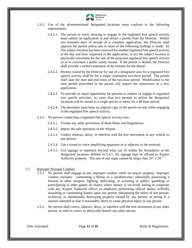

- 2.4.2. Use of the aforementioned designated locations must conform to the following requirements:
	- 2.4.2.1. The person or entity desiring to engage in the regulated free speech activity must submit an application to and obtain a permit from the Director. Within two business days of receipt of a complete application, the Director shall approve the permit unless one or more of the following findings is made: (i) The subject location has been reserved for another regulated free speech activity at the day and hour requested in the application; or (ii) the subject location is physically unsuitable for the size of the proposed regulated free speech activity so as to constitute a public safety hazard. If the permit is denied, the Director shall provide a written statement of the reasons for the denial.
	- 2.4.2.2. Permits issued by the Director for use of a designated area for a regulated free speech activity shall be for a single continuous two-hour period. The permit shall state the start and end times of the two-hour period. Modification to the time period prescribed in the permit will require the submission of a new application.
	- 2.4.2.3. To provide an equal opportunity for persons or entities to engage in regulated free speech activities, no more than two permits to utilize the designated locations will be issued to a single person or entity for a 48-hour period.
	- 2.4.2.4. The permittee must keep an original copy of the permit on-site while engaging in the regulated free speech activity.
- 2.4.3. No person conducting a regulated free speech activity may:
	- 2.4.3.1. Violate any other provisions of these Rules and Regulations.
	- 2.4.3.2. Impair the safe operation of the Airport.
	- 2.4.3.3. Unduly obstruct, delay, or interfere with the free movement of any vehicle or any person.
	- 2.4.3.4. Use a sound or voice amplifying apparatus in or adjacent to the terminal.
	- 2.4.3.5. Use signage or materials beyond what can fit within the boundaries of the designated locations defined in 2.4.1. No signage may be affixed to Airport Authority property. The size of any signs cannot be larger than 24" x 24."

#### <span id="page-10-0"></span>2.5 Improper Personal Conduct

- 2.5.1. No person shall engage in any improper conduct while on airport property. Improper conduct includes: committing a felony or a misdemeanor; unlawfully possessing a firearm or other weapon; fighting, defecating, or urinating in public; gambling or participating in other games of chance where money is involved; failing to cooperate with any Airport Authority officer or employee performing official duties; willfully assaulting or committing battery upon any person; threatening the safety of any person; recklessly or intentionally destroying property owned by any person; or acting in a manner intended or that is reasonably likely to cause physical injury to any person.
- 2.5.2. No person shall coerce, obstruct, delay, or interfere with the free movement of any other person, or seek to coerce or physically disturb any other person.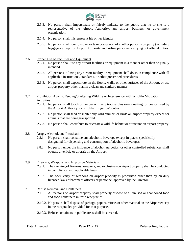

- 2.5.3. No person shall impersonate or falsely indicate to the public that he or she is a representative of the Airport Authority, any airport business, or government organization.
- 2.5.4. No person shall misrepresent his or her identity.
- 2.5.5. No person shall touch, move, or take possession of another person's property (including baggage) except for Airport Authority and airline personnel carrying out official duties.

#### <span id="page-11-0"></span>2.6 Proper Use of Facilities and Equipment

- 2.6.1. No person shall use any airport facilities or equipment in a manner other than originally intended.
- 2.6.2. All persons utilizing any airport facility or equipment shall do so in compliance with all applicable instructions, standards, or other prescribed procedures.
- 2.6.3. No person shall expectorate on the floors, walls, or other surfaces of the Airport, or use airport property other than in a clean and sanitary manner.

#### <span id="page-11-1"></span>2.7 Prohibition Against Feeding/Sheltering Wildlife or Interference with Wildlife Mitigation Activities

- 2.7.1. No person shall touch or tamper with any trap, exclusionary netting, or device used by the Airport Authority for wildlife mitigation/control.
- 2.7.2. No person shall feed or shelter any wild animals or birds on airport property except for animals that are being transported.
- 2.7.3. No person shall contribute to or create a wildlife habitat or attractant on airport property.
- <span id="page-11-2"></span>2.8 Drugs, Alcohol, and Intoxication
	- 2.8.1. No person shall consume any alcoholic beverage except in places specifically designated for dispensing and consumption of alcoholic beverages.
	- 2.8.2. No person under the influence of alcohol, narcotics, or other controlled substances shall operate a vehicle or aircraft on the Airport.

#### <span id="page-11-3"></span>2.9 Firearms, Weapons, and Explosive Materials

- 2.9.1. The carrying of firearms, weapons, and explosives on airport property shall be conducted in compliance with applicable laws.
- 2.9.2. The open carry of weapons on airport property is prohibited other than by on-duty licensed law enforcement officers or personnel approved by the Director.

#### <span id="page-11-4"></span>2.10 Refuse Removal and Containers

- 2.10.1. All persons on airport property shall properly dispose of all unused or abandoned food and food containers in trash receptacles.
- 2.10.2. No person shall dispose of garbage, papers, refuse, or other material on the Airport except in the receptacles provided for that purpose.
- 2.10.3. Refuse containers in public areas shall be covered.

Date Amended: Page 12 of 45 Rules & Regulations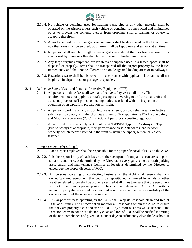

- 2.10.4. No vehicle or container used for hauling trash, dirt, or any other material shall be operated on the Airport unless such vehicle or container is constructed and maintained so as to prevent the contents thereof from dropping, sifting, leaking, or otherwise escaping therefrom.
- 2.10.5. Areas to be used for trash or garbage containers shall be designated by the Director, and no other areas shall be so used. Such areas shall be kept clean and sanitary at all times.
- 2.10.6. No person shall search through refuse or garbage material that has been disposed of or abandoned by someone other than himself/herself or his/her employees.
- 2.10.7. Any large surplus equipment, broken items or supplies used in a leased space shall be disposed of properly. Items shall be transported off the airport property by the lessee immediately and shall not be allowed to sit on designated loading areas or in hallways.
- 2.10.8. Hazardous waste shall be disposed of in accordance with applicable laws and shall not be placed in airport trash or garbage receptacles.
- <span id="page-12-0"></span>2.11 Reflective Safety Vests and Personal Protective Equipment (PPE)
	- 2.11.1. All persons on the AOA shall wear a reflective safety vest at all times. This requirement does not apply to aircraft passengers traversing to or from an aircraft and transient pilots or staff pilots conducting duties associated with the inspection or operation of an aircraft in preparation for flight.
	- 2.11.2. All persons working on any airport highways, streets, or roads shall wear a reflective safety vest to comply with the U.S. Department of Transportation's Work Zone Safety and Mobility regulations (23 C.F.R. 630, subpart J or succeeding regulation).
	- 2.11.3. All required reflective safety vests shall be ANSI/ISEA Type R (Roadway) or Type P (Public Safety) as appropriate, meet performance class 2 standards, and be worn properly, which means fastened in the front by using the zipper, button, or Velcro fastener.

#### <span id="page-12-1"></span>2.12 Foreign Object Debris (FOD)

- 2.12.1. Each airport employee shall be responsible for the proper disposal of FOD on the AOA.
- 2.12.2. It is the responsibility of each lessee or other occupant of ramp and apron areas to place suitable containers, as determined by the Director, at every gate, remote aircraft parking area, cargo, and maintenance facilities at locations determined by the Director to encourage the proper disposal of FOD.
- 2.12.3. All persons operating or conducting business on the AOA shall ensure that any owned/operated equipment that could be repositioned or moved by winds or other weather-related forces shall be properly secured at all times to ensure that the equipment will not move from its parked position. The cost of any damage to Airport Authority or tenant property that is caused by unsecured equipment shall be the responsibility of the owner/operator of the unsecured equipment.
- 2.12.4. Any airport business operating on the AOA shall keep its leasehold clean and free of FOD at all times. The Director shall monitor all leaseholds within the AOA to ensure that they are properly clean and free of FOD. Any airport business whose leasehold the Director deems to not be satisfactorily clean and free of FOD shall be notified in writing of the non-compliance and given 10 calendar days to sufficiently clean the leasehold. If

Date Amended: Page 13 of 45 Rules & Regulations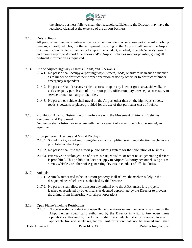

the airport business fails to clean the leasehold sufficiently, the Director may have the leasehold cleaned at the expense of the airport business.

#### <span id="page-13-0"></span>2.13 Duty to Report

All persons involved in or witnessing any accident, incident, or safety/security hazard involving persons, aircraft, vehicles, or other equipment occurring on the Airport shall contact the Airport Communication Center immediately to report the accident, incident, or safety/security hazard and make a report to Airport Operations and/or Airport Police as soon as possible, giving all pertinent information as requested.

#### <span id="page-13-1"></span>2.14 Use of Airport Highways, Streets, Roads, and Sidewalks

- 2.14.1. No person shall occupy airport highways, streets, roads, or sidewalks in such a manner as to hinder or obstruct their proper operation or use by others or to obstruct or hinder emergency responders.
- 2.14.2. No person shall drive any vehicle across or upon any lawn or grass area, sidewalk, or curb except by permission of the airport police officer on duty or except as necessary to service or maintain airport facilities.
- 2.14.3. No person or vehicle shall travel on the Airport other than on the highways, streets, roads, sidewalks or places provided for the use of that particular class of traffic.

#### <span id="page-13-2"></span>2.15 Prohibition Against Obstruction or Interference with the Movement of Aircraft, Vehicles, Personnel, and Equipment No person shall obstruct or interfere with the movement of aircraft, vehicles, personnel, and equipment.

#### <span id="page-13-3"></span>2.16 Improper Sound Devices and Visual Displays

- 2.16.1. Sound trucks, sound amplifying devices, and amplified sound reproduction machines are prohibited on the Airport.
- 2.16.2. No person shall use the airport public address system for the solicitation of business.
- 2.16.3. Excessive or prolonged use of horns, sirens, whistles, or other noise-generating devices is prohibited. This prohibition does not apply to Airport Authority personnel using horns, sirens, whistles, or other noise-generating devices in conduct of official duties.

#### <span id="page-13-4"></span>2.17 Animals

- 2.17.1. Animals authorized to be on airport property shall relieve themselves solely in the designated pet relief areas established by the Director.
- 2.17.2. No person shall allow or transport any animal onto the AOA unless it is properly leashed or restricted by other means as deemed appropriate by the Director to prevent the animal from interfering with airport operations.

#### <span id="page-13-5"></span>2.18 Open Flame/Smoking Restrictions

2.18.1. No person shall conduct any open flame operations in any hangar or elsewhere on the Airport unless specifically authorized by the Director in writing. Any open flame operations authorized by the Director shall be conducted strictly in accordance with applicable fire and safety regulations. Authorization shall not be granted until such

Date Amended: Page 14 of 45 Rules & Regulations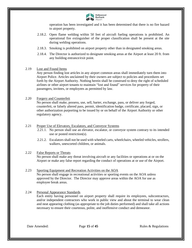

operation has been investigated and it has been determined that there is no fire hazard to airport property.

- 2.18.2. Open flame welding within 50 feet of aircraft fueling operations is prohibited. An operational fire extinguisher of the proper classification shall be present at the site during welding operations.
- 2.18.3. Smoking is prohibited on airport property other than in designated smoking areas.
- 2.18.4. The Director is authorized to designate smoking areas at the Airport at least 20 ft. from any building entrance/exit point.

#### <span id="page-14-0"></span>2.19 Lost and Found Items

Any person finding lost articles in any airport common areas shall immediately turn them into Airport Police. Articles unclaimed by their owners are subject to policies and procedures set forth by the Airport Authority. Nothing herein shall be construed to deny the right of scheduled airlines or other airport tenants to maintain "lost and found" services for property of their passengers, invitees, or employees as permitted by law.

#### <span id="page-14-1"></span>2.20 Forgery and Counterfeit

No person shall make, possess, use, sell, barter, exchange, pass, or deliver any forged, counterfeit, or falsely altered pass, permit, identification badge, certificate, placard, sign, or other authorization purporting to be issued by or on behalf of the Airport Authority or other regulatory agency.

#### <span id="page-14-2"></span>2.21 Proper Use of Elevators, Escalators, and Conveyor Systems

- 2.21.1. No person shall use an elevator, escalator, or conveyor system contrary to its intended use or posted restriction(s).
- 2.21.2. Escalators shall not be used with wheeled carts, wheelchairs, wheeled vehicles, strollers, walkers, unescorted children, or animals.

#### <span id="page-14-3"></span>2.22 False Reports or Threats

No person shall make any threat involving aircraft or any facilities or operations at or on the Airport or make any false report regarding the conduct of operations at or use of the Airport.

#### <span id="page-14-4"></span>2.23 Sporting Equipment and Recreation Activities on the AOA No person shall engage in recreational activities or sporting events on the AOA unless approved by the Director. The Director may approve areas within the AOA for use as employee break areas.

#### <span id="page-14-5"></span>2.24 Personal Appearance Standards

Each entity having personnel on airport property shall require its employees, subcontractors, and/or independent contractors who work in public view and about the terminal to wear clean and neat appearing clothing (as appropriate to the job duties performed) and shall take all actions necessary to ensure their courteous, polite, and inoffensive conduct and demeanor.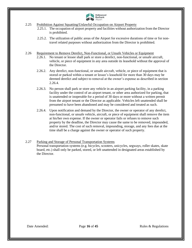

- <span id="page-15-0"></span>2.25 Prohibition Against Squatting/Unlawful Occupation on Airport Property
	- 2.25.1. The occupation of airport property and facilities without authorization from the Director is prohibited.
	- 2.25.2. The utilization of public areas of the Airport for excessive durations of time or for nontravel related purposes without authorization from the Director is prohibited.
- <span id="page-15-1"></span>2.26 Requirement to Remove Derelict, Non-Functional, or Unsafe Vehicles or Equipment
	- 2.26.1. No tenant or lessee shall park or store a derelict, non-functional, or unsafe aircraft, vehicle, or piece of equipment in any area outside its leasehold without the approval of the Director.
	- 2.26.2. Any derelict, non-functional, or unsafe aircraft, vehicle, or piece of equipment that is stored or parked within a tenant or lessee's leasehold for more than 30 days may be deemed derelict and subject to removal at the owner's expense as described in section 2.26.4.
	- 2.26.3. No person shall park or store any vehicle in an airport parking facility, in a parking facility under the control of an airport tenant, or other area authorized for parking, that is unattended or inoperable for a period of 30 days or more without a written permit from the airport tenant or the Director as applicable. Vehicles left unattended shall be presumed to have been abandoned and may be considered and treated as such.
	- 2.26.4. Upon notification and demand by the Director, the owner or operator of any derelict, non-functional, or unsafe vehicle, aircraft, or piece of equipment shall remove the item at his/her own expense. If the owner or operator fails or refuses to remove such property by the deadline, the Director may cause the same to be removed, impounded, and/or stored. The cost of such removal, impounding, storage, and any fees due at the time shall be a charge against the owner or operator of such property.

#### <span id="page-15-2"></span>2.27 Parking and Storage of Personal Transportation Systems Personal transportation systems (e.g. bicycles, scooters, unicycles, segways, roller skates, skate board, etc.) shall only be parked, stored, or left unattended in designated areas established by

the Director.

Date Amended: Page 16 of 45 Rules & Regulations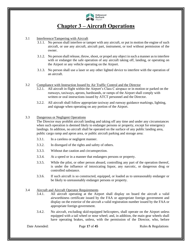

### **Chapter 3 – Aircraft Operations**

#### <span id="page-16-0"></span>3.1 Interference/Tampering with Aircraft

- <span id="page-16-1"></span>3.1.1. No person shall interfere or tamper with any aircraft, or put in motion the engine of such aircraft, or use any aircraft, aircraft part, instrument, or tool without permission of the owner.
- 3.1.2. No person shall release, throw, shoot, or propel any object in such a manner as to interfere with or endanger the safe operation of any aircraft taking off, landing, or operating on the Airport or any vehicle operating on the Airport.
- 3.1.3. No person shall use a laser or any other lighted device to interfere with the operation of an aircraft.

#### <span id="page-16-2"></span>3.2 Compliance with Instruction Issued by Air Traffic Control and the Director

- 3.2.1. All aircraft in flight within the Airport's Class C airspace or in motion or parked on the runways, taxiways, aprons, hardstands, or ramps of the Airport shall comply with written or oral instructions issued by ATCT personnel and the Director.
- 3.2.2. All aircraft shall follow appropriate taxiway and runway guidance markings, lighting, and signage when operating on any portion of the Airport.

#### <span id="page-16-3"></span>3.3 Dangerous or Negligent Operations

The Director may prohibit aircraft landing and taking off any time and under any circumstances when such operation is deemed likely to endanger persons or property, except for emergency landings. In addition, no aircraft shall be operated on the surface of any public landing area, public cargo ramp and apron area, or public aircraft parking and storage area:

- 3.3.1. In a careless or negligent manner.
- 3.3.2. In disregard of the rights and safety of others.
- 3.3.3. Without due caution and circumspection.
- 3.3.4. At a speed or in a manner that endangers persons or property.
- 3.3.5. While the pilot, or other person aboard, controlling any part of the operation thereof, is under the influence of intoxicating liquor, any narcotic, or dangerous drug or controlled substance.
- 3.3.6. If such aircraft is so constructed, equipped, or loaded as to unreasonably endanger or be likely to unreasonably endanger persons or property.

#### <span id="page-16-4"></span>3.4 Aircraft and Aircraft Operator Requirements

- 3.4.1. All aircraft operating at the Airport shall display on board the aircraft a valid airworthiness certificate issued by the FAA or appropriate foreign government and display on the exterior of the aircraft a valid registration number issued by the FAA or appropriate foreign government.
- 3.4.2. No aircraft, excluding skid-equipped helicopters, shall operate on the Airport unless equipped with a tail wheel or nose wheel; and, in addition, the main gear wheels shall have operating brakes, unless, with the permission of the Director, who, before

Date Amended: Page 17 of 45 Rules & Regulations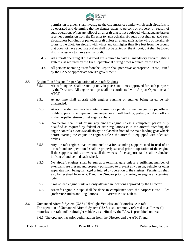

permission is given, shall investigate the circumstances under which such aircraft is to be operated and determine that no danger exists to persons or property by reason of such operation. When any pilot of an aircraft that is not equipped with adequate brakes receives permission from the Director to taxi such aircraft, such pilot shall not taxi such aircraft near buildings or parked aircraft unless an attendant is at the wing of the aircraft to assist the pilot. An aircraft with wings and tail higher than five feet from the ground that does not have adequate brakes shall not be taxied on the Airport, but shall be towed if it is necessary to move such aircraft.

- 3.4.3. All aircraft operating at the Airport are required to have all mandatory aircraft lighting systems, as required by the FAA, operational during times required by the FAA.
- 3.4.4. All persons operating aircraft on the Airport shall possess an appropriate license, issued by the FAA or appropriate foreign government.

#### <span id="page-17-0"></span>3.5 Engine Run-Ups and Proper Operation of Aircraft Engines

- 3.5.1. Aircraft engines shall be run-up only in places and times approved for such purposes by the Director. All engine run-ups shall be coordinated with Airport Operations and ATCT.
- 3.5.2. At no time shall aircraft with engines running or engines being tested be left unattended.
- 3.5.3. At no time shall engines be started, run-up or operated when hangars, shops, offices, building, persons, equipment, passengers, or aircraft landing, parked, or taking off are in the propeller stream or jet engine exhaust.
- 3.5.4. No person shall start or run any aircraft engine unless a competent person fully qualified as required by federal or state regulations is in the aircraft attending the engine controls. Chocks shall always be placed in front of the main landing gear wheels before starting the engine or engines unless the aircraft is equipped with adequate brakes.
- 3.5.5. Any aircraft engines that are mounted to a free-standing support stand instead of an aircraft and are operational shall be properly secured prior to operation of the engine. If the support stand is on wheels, all the wheels of the support stand shall be chocked in front of and behind each wheel.
- 3.5.6. No aircraft engines shall be run at a terminal gate unless a sufficient number of attendants are present and properly positioned to prevent any person, vehicle, or other apparatus from being damaged or injured by operation of the engines. Permission shall also be received from ATCT and the Director prior to starting an engine at a terminal gate.
- 3.5.7. Cross-bleed engine starts are only allowed in locations approved by the Director.
- 3.5.8. Aircraft engine run-ups shall be done in compliance with the Airport Noise Rules (Reference Rules and Regulations 8.1 – Aircraft Noise Rules).
- <span id="page-17-1"></span>3.6 Unmanned Aircraft System (UAS), Ultralight Vehicles, and Motorless Aircraft The operation of Unmanned Aircraft System (UAS, also commonly referred to as "drones"), motorless aircraft and/or ultralight vehicles, as defined by the FAA, is prohibited unless:

3.6.1. The operator has prior authorization from the Director and the ATCT; and

Date Amended: Page 18 of 45 Rules & Regulations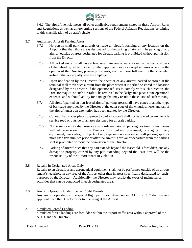

3.6.2. The aircraft/vehicle meets all other applicable requirements stated in these Airport Rules and Regulations as well as all governing sections of the Federal Aviation Regulations pertaining to this classification of aircraft/vehicle.

- <span id="page-18-0"></span>3.7 Authorized Aircraft Parking Areas
	- 3.7.1. No person shall park an aircraft or leave an aircraft standing at any location on the Airport other than those areas designated for the parking of aircraft. The parking of any aircraft outside of areas designated for aircraft parking is prohibited without permission from the Director.
	- 3.7.2. All parked aircraft shall have at least one main gear wheel chocked in the front and back of the wheel by wheel blocks or other approved devices except in cases where, in the opinion of the Director, proven procedures, such as those followed by the scheduled airlines, that are equally safe are employed.
	- 3.7.3. Upon notification by the Director, the operator of any aircraft parked or stored at the terminal shall move such aircraft from the place where it is parked or stored to a location designated by the Director. If the operator refuses to comply with such direction, the Director may cause such aircraft to be removed to the designated place at the operator's expense, and without liability for damage that may result in the course of such moving.
	- 3.7.4. All aircraft parked on non-leased aircraft parking areas shall have cones or another type of barricade approved by the Director at the outer edge of the wingtips, nose, and tail of the aircraft unless an exemption has been granted by the Director.
	- 3.7.5. Cones or barricades placed to protect a parked aircraft shall not be placed on any vehicle service road or outside of an area designed for aircraft parking.
	- 3.7.6. No person or entity shall reserve any non-leased aircraft parking position by any means without permission from the Director. The parking, placement, or staging of any equipment, barricades, or objects of any type on a non-leased aircraft parking spot for more than five minutes prior or after the aircraft's arrival or departure from the parking spot is prohibited without the permission of the Director.
	- 3.7.7. Parking of aircraft such that any part extends beyond the leasehold is forbidden, and any damage to property caused by any part extending beyond the lease area will be the responsibility of the airport tenant in violation.

#### <span id="page-18-1"></span>3.8 Repairs in Designated Areas Only

Repairs to an aircraft or any aeronautical equipment shall not be performed outside of an airport tenant's leasehold in any area of the Airport other than in areas specifically designated for such purposes by the Director. Additionally, the Director may restrict the types of maintenance activities that can be conducted in each designated area.

- <span id="page-18-2"></span>3.9 Aircraft Operating Under Special Flight Permits Any aircraft operating with a special flight permit as defined under 14 CFR 21.197 shall receive approval from the Director prior to operating at the Airport.
- <span id="page-18-3"></span>3.10 Simulated Forced Landing Simulated forced landings are forbidden within the airport traffic area without approval of the ATCT and the Director.

Date Amended: Page 19 of 45 Rules & Regulations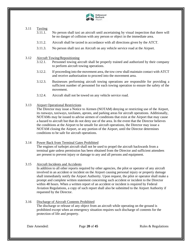

#### <span id="page-19-0"></span>3.11 Taxiing

3.11.1. No person shall taxi an aircraft until ascertaining by visual inspection that there will be no danger of collision with any person or object in the immediate area.

- 3.11.2. Aircraft shall be taxied in accordance with all directions given by the ATCT.
- 3.11.3. No person shall taxi an Aircraft on any vehicle service road at the Airport.

#### <span id="page-19-1"></span>3.12 Aircraft Towing/Repositioning

- 3.12.1. Personnel towing aircraft shall be properly trained and authorized by their company to perform aircraft towing operations.
- 3.12.2. If proceeding into the movement area, the tow crew shall maintain contact with ATCT and receive authorization to proceed into the movement area.
- 3.12.3. Businesses performing aircraft towing operations are responsible for providing a sufficient number of personnel for each towing operation to ensure the safety of the movement.
- 3.12.4. Aircraft shall not be towed on any vehicle service road.

#### <span id="page-19-2"></span>3.13 Airport Operational Restrictions

The Director may issue a Notice to Airmen (NOTAM) denying or restricting use of the Airport, its runways, taxiways, taxilanes, aprons, and parking areas for aircraft operations. Additionally, NOTAMs may be issued to advise airmen of conditions that exist at the Airport that may cause a hazard to aircraft but that do not deny use of the area. In the event that the Director believes the conditions at the Airport to be unsafe for aircraft operations, the Director may issue a NOTAM closing the Airport, or any portion of the Airport, until the Director determines conditions to be safe for aircraft operations.

#### <span id="page-19-3"></span>3.14 Power Back from Terminal Gates Prohibited

The engines of turbojet aircraft shall not be used to propel the aircraft backwards from a terminal gate unless permission has been obtained from the Director and sufficient attendees are present to prevent injury or damage to any and all persons and equipment.

#### <span id="page-19-4"></span>3.15 Aircraft Incidents and Accidents

In addition to all other reports required by other agencies, the pilot or operator of any aircraft involved in an accident or incident on the Airport causing personal injury or property damage shall immediately notify the Airport Authority. Upon request, the pilot or operator shall make a prompt and complete written statement concerning such accident or incident to the Director within 48 hours. When a written report of an accident or incident is required by Federal Aviation Regulations, a copy of such report shall also be submitted to the Airport Authority if requested by the Director.

#### <span id="page-19-5"></span>3.16 Discharge of Aircraft Contents Prohibited

The discharge or release of any object from an aircraft while operating on the ground is prohibited except when an emergency situation requires such discharge of contents for the protection of life and property.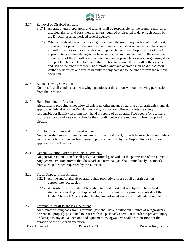

- <span id="page-20-0"></span>3.17 Removal of Disabled Aircraft
	- 3.17.1. Aircraft owners, operators, and tenants shall be responsible for the prompt removal of disabled aircraft and parts thereof, unless required or directed to delay such action by the Director or an authorized federal agency.
	- 3.17.2. When a disabled aircraft is blocking or delaying the use of any portion of the Airport, the owner or operator of the aircraft shall make immediate arrangements to have such aircraft moved as soon as an authorized representative of the Airport Authority and appropriate governmental agencies have authorized such movement. In the event that the removal of the aircraft is not initiated as soon as possible, or is not progressing at an acceptable rate, the Director may initiate action to remove the aircraft at the expense and risk of the aircraft owner. The aircraft owner and operator shall hold the Airport Authority harmless and free of liability for any damage to the aircraft from the removal operation.

#### <span id="page-20-1"></span>3.18 Banner Towing Operations No aircraft shall conduct banner towing operations at the airport without receiving permission from the Director.

<span id="page-20-2"></span>3.19 Hand Propping of Aircraft

Aircraft hand propping is not allowed unless no other means of starting an aircraft exists and all applicable Federal Aviation Regulations and guidance are followed. Pilots are solely responsible for liability resulting from hand propping of an aircraft. Two people (one to hand prop the aircraft and a second to handle the aircraft controls) are required to hand prop and aircraft.

<span id="page-20-3"></span>3.20 Prohibition on Removal of Liened Aircraft No person shall move or remove any aircraft from the Airport, or parts from such aircraft, when an official notice of lien has been posted upon such aircraft by the Airport Authority unless approved by the Director.

#### <span id="page-20-4"></span>3.21 General Aviation Aircraft Parking at Terminals No general aviation aircraft shall park at a terminal gate without the permission of the Director. Any general aviation aircraft that does park at a terminal gate shall immediately disembark from such gate when requested by the Director.

#### <span id="page-20-5"></span>3.22 Trash Disposal from Aircraft

- 3.22.1. Airline and/or aircraft operators shall promptly dispose of all aircraft trash in appropriate receptacles.
- 3.22.2. All trash or refuse material brought into the Airport that is subject to the federal standards regarding the disposal of trash from countries or provinces outside of the United States of America shall be disposed of in adherence with all federal regulations.

#### <span id="page-20-6"></span>3.23 Terminal Aircraft Pushback Operations

All aircraft pushing back from a terminal gate shall have a sufficient number of wingwalkers present and properly positioned to assist with the pushback operation in order to prevent injury or damage to any and all persons and equipment. Wingwalkers shall be in position for the duration of the pushback operation.

Date Amended: Page 21 of 45 Rules & Regulations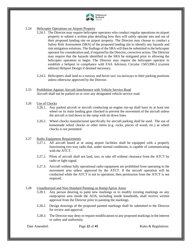

#### <span id="page-21-0"></span>3.24 Helicopter Operations on Airport Property

- 3.24.1. The Director may require helicopter operators who conduct regular operations on airport property to submit a written plan detailing how they will safely operate into and out of their proposed landing site on airport property. The Director may choose to conduct a Safety Risk Assessment (SRA) of the proposed landing site to identify any hazards and risk mitigation solutions. The findings of the SRA will then be submitted to the helicopter operator for consideration and, if required by the Director, corrective action. The Director may require that the hazards identified in the SRA be mitigated prior to allowing the helicopter operation to begin. The Director may require the helicopter operator to establish a heliport in compliance with FAA Advisory Circular 150/5390-2 (current edition) Heliport Design if deemed necessary.
- 3.24.2. Helicopters shall land to a runway and hover taxi via taxiways to their parking positions unless otherwise approved by the Director.
- <span id="page-21-1"></span>3.25 Prohibition Against Aircraft Interference with Vehicle Service Road Aircraft shall not be parked on or over any designated vehicle service road.

#### <span id="page-21-2"></span>3.26 Use of Chocks

- 3.26.1. Any parked aircraft or aircraft conducting an engine run-up shall have its at least one wheel on its main landing gear chocked to prevent the movement of the aircraft unless the aircraft is tied down to the ramp with tie down lines.
- 3.26.2. Wheel chocks manufactured specifically for aircraft parking shall be used. The use of homemade wheel chocks or other items (e.g. rocks, pieces of wood, etc.) as wheel chocks is not permitted.

#### <span id="page-21-3"></span>3.27 Radio Equipment Requirements

- 3.27.1. All aircraft based at or using airport facilities shall be equipped with a properly functioning two-way radio that, under normal conditions, is capable of communicating with the ATCT.
- 3.27.2. Pilots of aircraft shall not land, taxi, or take off without clearance from the ATCT by radio or light signal.
- 3.27.3. Aircraft without fully operational radio equipment are prohibited from operating in the movement area unless approved by the ATCT. If the aircraft operation will be conducted while the ATCT is not in operation, then permission from the ATCT is not required.

#### <span id="page-21-4"></span>3.28 Unauthorized and Non-Standard Painting on Ramp/Apron Areas

- 3.28.1. Any person desiring to paint new markings or to modify existing markings on any ramp/apron area inside the AOA, including inside leaseholds, shall receive written approval from the Director prior to painting the markings.
- 3.28.2. Design drawings of the proposed painted markings shall be submitted to the Director for review and approval.
- 3.28.3. The Director may deny or require modifications to any proposed markings in the interest or safety and uniformity.

Date Amended: Page 22 of 45 Rules & Regulations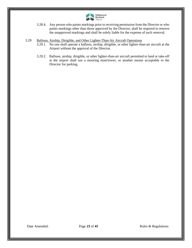

- 3.28.4. Any person who paints markings prior to receiving permission from the Director or who paints markings other than those approved by the Director, shall be required to remove the unapproved markings and shall be solely liable for the expense of such removal.
- <span id="page-22-0"></span>3.29 Balloon, Airship, Dirigible, and Other Lighter-Than-Air Aircraft Operations
	- 3.29.1. No one shall operate a balloon, airship, dirigible, or other lighter-than-air aircraft at the Airport without the approval of the Director.
	- 3.29.2. Balloon, airship, dirigible, or other lighter-than-air aircraft permitted to land or take-off at the airport shall use a mooring mast/tower, or another means acceptable to the Director for parking.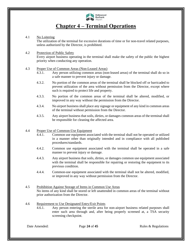

### **Chapter 4 – Terminal Operations**

#### <span id="page-23-0"></span>4.1 No Loitering

<span id="page-23-1"></span>The utilization of the terminal for excessive durations of time or for non-travel related purposes, unless authorized by the Director, is prohibited.

#### <span id="page-23-2"></span>4.2 Protection of Public Safety

Every airport business operating in the terminal shall make the safety of the public the highest priority when conducting any operation.

#### <span id="page-23-3"></span>4.3 Proper Use of Common Areas (Non-Leased Areas)

- 4.3.1. Any person utilizing common areas (non-leased areas) of the terminal shall do so in a safe manner to prevent injury or damage.
- 4.3.2. No portion of the common areas of the terminal shall be blocked off or barricaded to prevent utilization of the area without permission from the Director, except where such is required to protect life and property.
- 4.3.3. No portion of the common areas of the terminal shall be altered, modified, or improved in any way without the permission from the Director.
- 4.3.4. No airport business shall place any signage or equipment of any kind in common areas of the terminal without permission from the Director.
- 4.3.5. Any airport business that soils, dirties, or damages common areas of the terminal shall be responsible for cleaning the affected area.

#### <span id="page-23-4"></span>4.4 Proper Use of Common-Use Equipment

- 4.4.1. Common use equipment associated with the terminal shall not be operated or utilized in a manner other than originally intended and in compliance with all published procedures/standards.
- 4.4.2. Common use equipment associated with the terminal shall be operated in a safe manner to prevent injury or damage.
- 4.4.3. Any airport business that soils, dirties, or damages common use equipment associated with the terminal shall be responsible for repairing or restoring the equipment to its previous condition.
- 4.4.4. Common-use equipment associated with the terminal shall not be altered, modified, or improved in any way without permission from the Director.
- <span id="page-23-5"></span>4.5 Prohibition Against Storage of Items in Common Use Areas No items of any kind shall be stored or left unattended in common areas of the terminal without prior authorization from the Director.

#### <span id="page-23-6"></span>4.6 Requirement to Use Designated Entry/Exit Points

4.6.1. Any person entering the sterile area for non-airport business related purposes shall enter such area through and, after being properly screened at, a TSA security screening checkpoint.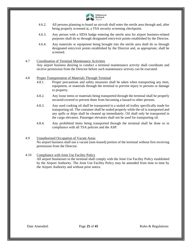

- 4.6.2. All persons planning to board an aircraft shall enter the sterile area through and, after being properly screened at, a TSA security screening checkpoint.
- 4.6.3. Any person with a SIDA badge entering the sterile area for airport business-related purposes shall do so through designated entry/exit points established by the Director.
- 4.6.4. Any materials or equipment being brought into the sterile area shall do so through designated entry/exit points established by the Director and, as appropriate, shall be screened.
- <span id="page-24-0"></span>4.7 Coordination of Terminal Maintenance Activities Any airport business desiring to conduct a terminal maintenance activity shall coordinate and receive permission from the Director before such maintenance activity can be executed.
- <span id="page-24-1"></span>4.8 Proper Transportation of Materials Through Terminal
	- 4.8.1. Proper precautions and safety measures shall be taken when transporting any item, equipment, or materials through the terminal to prevent injury to persons or damage to property.
	- 4.8.2. Any loose items or materials being transported through the terminal shall be properly secured/covered to prevent them from becoming a hazard to other persons.
	- 4.8.3. Any used cooking oil shall be transported in a sealed oil trolley specifically made for transporting oil. The container shall be sealed properly while the oil is transported and any spills or drips shall be cleaned up immediately. Oil shall only be transported in the cargo elevators. Passenger elevators shall not be used for transporting oil.
	- 4.8.4. Any prohibited items being transported through the terminal shall be done so in compliance with all TSA policies and the ASP.
- <span id="page-24-2"></span>4.9 Unauthorized Occupation of Vacant Areas No airport business shall use a vacant (non-leased) portion of the terminal without first receiving permission from the Director.

#### <span id="page-24-3"></span>4.10 Compliance with Joint Use Facility Policy

All airport businesses in the terminal shall comply with the Joint Use Facility Policy established by the Airport Authority. The Joint Use Facility Policy may be amended from time to time by the Airport Authority and without prior notice.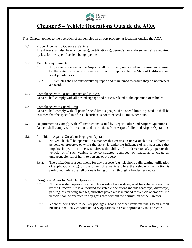

### **Chapter 5 – Vehicle Operations Outside the AOA**

<span id="page-25-0"></span>This Chapter applies to the operation of all vehicles on airport property at locations outside the AOA.

- <span id="page-25-1"></span>5.1 Proper Licenses to Operate a Vehicle The driver shall also have a license(s), certification(s), permit(s), or endorsement(s), as required by law for the type of vehicle being operated.
- <span id="page-25-2"></span>5.2 Vehicle Requirements
	- 5.2.1. Any vehicle operated at the Airport shall be properly registered and licensed as required by the state the vehicle is registered in and, if applicable, the State of California and local jurisdictions.
	- 5.2.2. All vehicles shall be sufficiently equipped and maintained to ensure they do not present a hazard.
- <span id="page-25-3"></span>5.3 Compliance with Posted Signage and Notices Drivers shall comply with all posted signage and notices related to the operation of vehicles.
- <span id="page-25-4"></span>5.4 Compliance with Speed Limit Drivers shall comply with all posted speed limit signage. If no speed limit is posted, it shall be assumed that the speed limit for such surface is not to exceed 15 miles per hour.
- <span id="page-25-5"></span>5.5 Requirement to Comply with All Instructions Issued by Airport Police and Airport Operations Drivers shall comply with directions and instructions from Airport Police and Airport Operations.

#### <span id="page-25-6"></span>5.6 Prohibition Against Unsafe or Negligent Operation

- 5.6.1. No vehicle shall be operated in a manner that creates an unreasonable risk of harm to persons or property, or while the driver is under the influence of any substance that impairs, impedes, or otherwise affects the ability of the driver to safely operate the vehicle, or if such vehicle is so constructed, equipped, or loaded as to create an unreasonable risk of harm to persons or property.
- 5.6.2. The utilization of a cell phone for any purpose (e.g. telephone calls, texting, utilization of applications, etc.) by the driver of a vehicle while the vehicle is in motion is prohibited unless the cell phone is being utilized through a hands-free device.

#### <span id="page-25-7"></span>5.7 Designated Areas for Vehicle Operations

- 5.7.1. No person shall operate in a vehicle outside of areas designated for vehicle operations by the Director. Areas authorized for vehicle operations include roadways, driveways, parking lots, parking garages, and other paved areas intended for vehicle operations. No vehicle shall be operated in any grass area without the permission of the Director.
- 5.7.2. Vehicles being used to deliver packages, goods, or other items/materials to an airport business shall only conduct delivery operations in areas approved by the Director.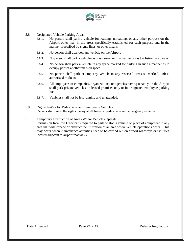

#### <span id="page-26-0"></span>5.8 Designated Vehicle Parking Areas

- 5.8.1. No person shall park a vehicle for loading, unloading, or any other purpose on the Airport other than in the areas specifically established for such purpose and in the manner prescribed by signs, lines, or other means.
- 5.8.2. No person shall abandon any vehicle on the Airport.
- 5.8.3. No person shall park a vehicle on grass areas, or in a manner so as to obstruct roadways.
- 5.8.4. No person shall park a vehicle in any space marked for parking in such a manner as to occupy part of another marked space.
- 5.8.5. No person shall park or stop any vehicle in any reserved areas so marked, unless authorized to do so.
- 5.8.6. All employees of companies, organizations, or agencies having tenancy on the Airport shall park private vehicles on leased premises only or in designated employee parking lots.
- 5.8.7. Vehicles shall not be left running and unattended.
- <span id="page-26-1"></span>5.9 Right-of-Way for Pedestrians and Emergency Vehicles Drivers shall yield the right-of-way at all times to pedestrians and emergency vehicles.

#### <span id="page-26-2"></span>5.10 Temporary Obstruction of Areas Where Vehicles Operate

Permission from the Director is required to park or stop a vehicle or piece of equipment in any area that will impede or obstruct the utilization of an area where vehicle operations occur. This may occur when maintenance activities need to be carried out on airport roadways or facilities located adjacent to airport roadways.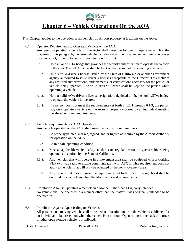

### **Chapter 6 – Vehicle Operations On the AOA**

<span id="page-27-0"></span>This Chapter applies to the operation of all vehicles on Airport property at locations on the AOA.

6.1 Operator Requirements to Operate a Vehicle on the AOA

<span id="page-27-1"></span>Any person operating a vehicle on the AOA shall meet the following requirements. For the purposes of this paragraph, the term vehicle includes aircraft being taxied under their own power by a non-pilot, or being towed with no intention for flight:

- 6.1.1. Hold a valid SIDA badge that provides the security authorization to operate the vehicle in the area. The SIDA badge shall be kept on the person while operating a vehicle.
- 6.1.2. Hold a valid driver's license issued by the State of California or another government agency authorized to issue driver's licenses acceptable to the Director. This includes any required authorizations, endorsements, or certifications necessary for the particular vehicle being operated. The valid driver's license shall be kept on the person while operating a vehicle.
- 6.1.3. Hold a valid AOA driver's license designation, depicted on the person's SIDA badge, to operate the vehicle in the area.
- 6.1.4. If a person does not meet the requirements set forth in 6.1.1 through 6.1.3, the person may only operate a vehicle on the AOA if properly escorted by an individual meeting the aforementioned requirements.

#### <span id="page-27-2"></span>6.2 Vehicle Requirements for AOA Operations

Any vehicle operated on the AOA shall meet the following requirements:

- 6.3.1. Be properly painted, marked, signed, and/or lighted as required by the Airport Authority for operation on the AOA.
- 6.3.2. Be in a safe operating condition.
- 6.3.3. Meet all applicable vehicle safety standards and regulations for the type of vehicle being operated as required by the State of California.
- 6.3.4. Any vehicles that will operate in a movement area shall be equipped with a working VHF two-way radio to enable communication with ATCT. This requirement does not apply to vehicles that will only be operated in the non-movement area.
- 6.3.5. Any vehicle that does not meet the requirements set forth in 6.2.1 through 6.2.4 shall be escorted by a vehicle meeting the aforementioned requirements.
- <span id="page-27-3"></span>6.3 Prohibition Against Operating a Vehicle in a Manner Other than Originally Intended No vehicle shall be operated in a manner other than the matter it was originally intended to be operated in.
- <span id="page-27-4"></span>6.4 Prohibition Against Open Riding on Vehicles All persons on a moving vehicle shall be seated at a location on or in the vehicle established for an individual to be present on while the vehicle is in motion. Open riding in the back of a truck or other open storage vehicle is prohibited.

Date Amended: Page 28 of 45 Rules & Regulations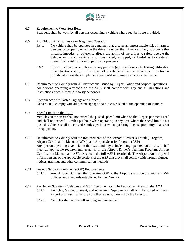

#### <span id="page-28-0"></span>6.5 Requirement to Wear Seat Belts

Seat belts shall be worn by all persons occupying a vehicle where seat belts are provided.

#### <span id="page-28-1"></span>6.6 Prohibition Against Unsafe or Negligent Operation

- 6.6.1. No vehicle shall be operated in a manner that creates an unreasonable risk of harm to persons or property, or while the driver is under the influence of any substance that impairs, impedes, or otherwise affects the ability of the driver to safely operate the vehicle, or if such vehicle is so constructed, equipped, or loaded as to create an unreasonable risk of harm to persons or property.
- 6.6.2. The utilization of a cell phone for any purpose (e.g. telephone calls, texting, utilization of applications, etc.) by the driver of a vehicle while the vehicle is in motion is prohibited unless the cell phone is being utilized through a hands-free device.
- <span id="page-28-2"></span>6.7 Requirement to Comply with All Instructions Issued by Airport Police and Airport Operations All persons operating a vehicle on the AOA shall comply with any and all directions and instructions from Airport Authority personnel.
- <span id="page-28-3"></span>6.8 Compliance with Posted Signage and Notices Drivers shall comply with all posted signage and notices related to the operation of vehicles.

#### <span id="page-28-4"></span>6.9 Speed Limits on the AOA

Vehicles on the AOA shall not exceed the posted speed limit when on the Airport perimeter road and shall not exceed 15 miles per hour when operating in any area where the speed limit is not posted. Vehicles shall not exceed 5 miles per hour when operating in close proximity to aircraft or equipment.

<span id="page-28-5"></span>6.10 Requirement to Comply with the Requirements of the Airport's Driver's Training Program, Airport Certification Manual (ACM), and Airport Security Program (ASP) Any person operating a vehicle on the AOA and any vehicle being operated on the AOA shall meet all applicable requirements establish in the Airport Driver's Training Program, Airport Certification Manual, and ASP. Access to the full ASP is restricted. The Airport Authority will inform persons of the applicable portions of the ASP that they shall comply with through signage, notices, training, and other communication methods.

- <span id="page-28-6"></span>6.11 Ground Service Equipment (GSE) Requirements
	- 6.11.1. Any Airport Business that operates GSE at the Airport shall comply with all GSE policies and standards established by the Director.
- <span id="page-28-7"></span>6.12 Parking or Storage of Vehicles and GSE Equipment Only in Authorized Areas on the AOA 6.12.1. Vehicles, GSE equipment, and other items/equipment shall only be stored within an airport business' leased area or other areas authorized by the Director.
	- 6.12.2. Vehicles shall not be left running and unattended.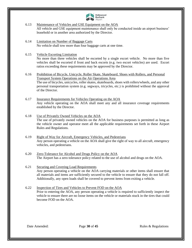

- <span id="page-29-0"></span>6.13 Maintenance of Vehicles and GSE Equipment on the AOA All vehicle and GSE equipment maintenance shall only be conducted inside an airport business' leasehold or in another area authorized by the Director.
- <span id="page-29-1"></span>6.14 Limitation on Number of Baggage Carts No vehicle shall tow more than four baggage carts at one time.
- <span id="page-29-2"></span>6.15 Vehicle Escorting Limitation No more than three vehicles shall be escorted by a single escort vehicle. No more than five vehicles shall be escorted if front and back escorts (e.g. two escort vehicles) are used. Escort ratios exceeding these requirements may be approved by the Director.
- <span id="page-29-3"></span>6.16 Prohibition of Bicycle, Unicycle, Roller Skate, Skateboard, Shoes with Rollers, and Personal Transport System Operations on the Air Operations Area The use of bicycles, unicycles, roller skates, skateboards, shoes with rollers/wheels, and any other personal transportation system (e.g. segways, tricycles, etc.) is prohibited without the approval of the Director.
- <span id="page-29-4"></span>6.17 Insurance Requirements for Vehicles Operating on the AOA Any vehicle operating on the AOA shall meet any and all insurance coverage requirements established by the Director.
- <span id="page-29-5"></span>6.18 Use of Privately Owned Vehicles on the AOA The use of privately owned vehicles on the AOA for business purposes is permitted as long as the vehicle owner and operator meet all the applicable requirements set forth in these Airport Rules and Regulations.
- <span id="page-29-6"></span>6.19 Right of Way for Aircraft, Emergency Vehicles, and Pedestrians Any person operating a vehicle on the AOA shall give the right of way to all aircraft, emergency vehicles, and pedestrians.
- <span id="page-29-7"></span>6.20 Zero-Tolerance for Alcohol and Drugs Policy on the AOA The Airport has a zero tolerance policy related to the use of alcohol and drugs on the AOA.
- <span id="page-29-8"></span>6.21 Securing and Covering Load Requirements Any person operating a vehicle on the AOA carrying materials or other items shall ensure that all materials and items are sufficiently secured to the vehicle to ensure that they do not fall off. Additionally, any open loads shall be covered to prevent items from exiting a vehicle.
- <span id="page-29-9"></span>6.22 Inspection of Tires and Vehicles to Prevent FOD on the AOA Prior to entering the AOA, any person operating a vehicle is required to sufficiently inspect the vehicle to ensure there are no loose items on the vehicle or materials stuck in the tires that could become FOD on the AOA.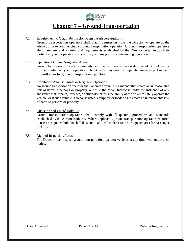

### **Chapter 7 – Ground Transportation**

#### <span id="page-30-0"></span>7.1 Requirement to Obtain Permission From the Airport Authority

<span id="page-30-1"></span>Ground transportation operators shall obtain permission from the Director to operate at the Airport prior to commencing a ground transportation operation. Ground transportation operators shall meet any and all rules and requirements established by the Director pertaining to their particular type of operation and shall pay all fees prior to commencing operation.

#### <span id="page-30-2"></span>7.2 Operation Only in Designated Areas

Ground transportation operators are only permitted to operate in areas designated by the Director for their particular type of operation. The Director may establish separate passenger pick-up and drop-off areas for ground transportation operators.

#### <span id="page-30-3"></span>7.3 Prohibition Against Unsafe or Negligent Operation

No ground transportation operator shall operate a vehicle in a manner that creates an unreasonable risk of harm to persons or property, or while the driver thereof is under the influence of any substance that impairs, impedes, or otherwise affects the ability of the driver to safely operate the vehicle, or if such vehicle is so constructed, equipped, or loaded as to create an unreasonable risk of harm to persons or property.

#### <span id="page-30-4"></span>7.4 Queueing and Use of Hold Lot

Ground transportation operators shall comply with all queuing procedures and standards established by the Airport Authority. Where applicable, ground transportation operators required to use a designated hold lot shall do so until allowed to drive to the designated area for passenger pick-up.

### <span id="page-30-5"></span>7.5 Right of Inspection/Access

The Director may inspect ground transportation operator vehicles at any time without advance notice.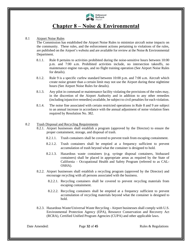

### **Chapter 8 – Noise & Environmental**

#### <span id="page-31-0"></span>8.1 Airport Noise Rules

<span id="page-31-1"></span>The Commission has established the Airport Noise Rules to minimize aircraft noise impacts on the community. These rules, and the enforcement actions pertaining to violations of the rules, are published on the Airport's website and are available for review at the Noise  $\&$  Environmental Department.

- 8.1.1. Rule 8 pertains to activities prohibited during the noise-sensitive hours between 10:00 p.m. and 7:00 a.m. Prohibited activities include, no intersection takeoffs, no maintenance engine run-ups, and no flight training operation (See Airport Noise Rules for details).
- 8.1.2. Rule 9 is a specific curfew standard between 10:00 p.m. and 7:00 a.m. Aircraft which create noise greater than a certain limit may not use the Airport during these nighttime hours (See Airport Noise Rules for details).
- 8.1.3. Any pilot in command or maintenance facility violating the provisions of the rules may, in the discretion of the Airport Authority and in addition to any other remedies (including injunctive remedies) available, be subject to civil penalties for each violation.
- 8.1.4. The noise fine associated with certain restricted operations in Rule 8 and 9 are subject to an annual increase in accordance with the annual adjustment of noise violation fines required by Resolution No. 382.

#### <span id="page-31-2"></span>8.2 Trash Disposal and Recycling Requirements

- 8.2.1. Airport businesses shall establish a program (approved by the Director) to ensure the proper containment, storage, and disposal of trash.
	- 8.2.1.1. Trash containers shall be covered to prevent trash from escaping containment.
	- 8.2.1.2. Trash containers shall be emptied at a frequency sufficient to prevent accumulation of trash beyond what the container is designed to hold.
	- 8.2.1.3. Hazardous waste containers (e.g. syringe disposal containers, biohazard containers) shall be placed in appropriate areas as required by the State of California – Occupational Health and Safety Program (referred to as CAL-OSHA).
- 8.2.2. Airport businesses shall establish a recycling program (approved by the Director) and encourage recycling with all persons associated with the business.
	- 8.2.2.1. Recycling containers shall be covered to prevent recycling materials from escaping containment.
	- 8.2.2.2. Recycling containers shall be emptied at a frequency sufficient to prevent accumulation of recycling materials beyond what the container is designed to hold.
- 8.2.3. Hazardous Waste/Universal Waste Recycling Airport businesses shall comply with U.S. Environmental Protection Agency (EPA), Resource Conservation and Recovery Act (RCRA), Certified Unified Program Agencies (CUPA) and other applicable laws.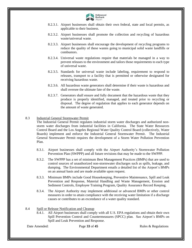

- 8.2.3.1. Airport businesses shall obtain their own federal, state and local permits, as applicable to their business.
- 8.2.3.2. Airport businesses shall promote the collection and recycling of hazardous waste/universal waste.
- 8.2.3.3. Airport businesses shall encourage the development of recycling programs to reduce the quality of these wastes going to municipal solid waste landfills or combustors.
- 8.2.3.4. Universal waste regulations require that materials be managed in a way to prevent releases to the environment and tailors those requirements to each type of universal waste.
- 8.2.3.5. Standards for universal waste include labeling, requirement to respond to releases, transport to a facility that is permitted or otherwise designated for receiving hazardous waste.
- 8.2.3.6. All hazardous waste generators shall determine if their waste is hazardous and shall oversee the ultimate fate of the waste.
- 8.2.3.7. Generators shall ensure and fully document that the hazardous waste that they produce is properly identified, managed, and treated prior to recycling or disposal. The degree of regulation that applies to each generator depends on the amount of waste generated.

#### <span id="page-32-0"></span>8.3 Industrial General Stormwater Permit

The Industrial General Permit regulates industrial storm water discharges and authorized nonstorm water discharges from industrial facilities in California. The State Water Resources Control Board and the Los Angeles Regional Water Quality Control Board (collectively, Water Boards) implement and enforce the Industrial General Stormwater Permit. The Industrial General Stormwater Permit requires the development of a Storm Water Pollution Prevention Plan.

- 8.3.1. Airport businesses shall comply with the Airport Authority's Stormwater Pollution Prevention Plan (SWPPP) and all future revisions that may be made to the SWPPP.
- 8.3.2. The SWPPP has a set of minimum Best Management Practices (BMPs) that are used to control sources of unauthorized non-stormwater discharges such as spills, leakage, and dumping. The Environmental Department emails a detailed list of the Airport's BMPs on an annual basis and are made available upon request.
- 8.3.3. Minimum BMPs include Good Housekeeping, Preventive Maintenance, Spill and Leak Prevention and Response, Material Handling and Waste Management, Erosion and Sediment Controls, Employee Training Program, Quality Assurance Record Keeping.
- 8.3.4. The Airport Authority may implement additional or advanced BMPs or other control measures in order to attain compliance with the receiving water limitation if a discharge causes or contributes to an exceedance of a water quality standard.

#### <span id="page-32-1"></span>8.4 Spill or Release Notification and Cleanup

8.4.1. All Airport businesses shall comply with all U.S. EPA regulations and obtain their own Spill Prevention Control and Countermeasures (SPCC) plan. See Airport's BMPs on Spill and Leak Prevention and Response.

Date Amended: Page 33 of 45 Rules & Regulations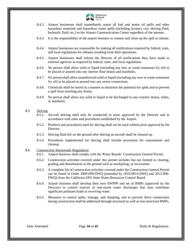

- 8.4.2. Airport businesses shall immediately report all fuel and motor oil spills and other hazardous materials and hazardous waste spills (including lavatory cart, deicing fluid, hydraulic fluid, etc.) to the Airport Communication Center regardless of the amount.
- 8.4.3. It is the responsibility of the airport business to contain and clean up the spill or release.
- 8.4.4. Airport businesses are responsible for making all notifications required by federal, state, and local regulations for releases resulting from their operations.
- 8.4.5. Airport businesses shall inform the Director of all notifications they have made to external agencies as required by federal, state, and local regulations.
- 8.4.6. No person shall allow solid or liquid (including any new or waste restaurant fry oil) to be placed or poured into any interior floor drains and manholes.
- 8.4.7. No person shall allow unauthorized solid or liquid (including any new or waste restaurant fry oil) to be placed or poured into any sewer connections.
- 8.4.8. Chemicals shall be stored in a manner to minimize the potential for spills and to prevent a spill from reaching any drains.
- 8.4.9. No person shall allow any solid or liquid to be discharged to any exterior drains, inlets, or manholes.

#### <span id="page-33-0"></span>8.5 Deicing

- 8.5.1. Aircraft deicing shall only be conducted in areas approved by the Director and in accordance with rules and procedures established by the Airport.
- 8.5.2. Products and procedures used for deicing shall not be used without prior approval by the Director.
- 8.5.3. Deicing fluid left on the ground after deicing an aircraft shall be cleaned up.
- 8.5.4. Procedures implemented for deicing shall include provisions for containment and cleanup.

#### <span id="page-33-1"></span>8.6 Construction Stormwater Regulations

- 8.6.1. Airport business shall comply with the Water Boards' Construction General Permit.
- 8.6.2. Construction activities covered under this permit includes but not limited to clearing, grading and disturbances to the ground such as stockpiling, or excavation.
- 8.6.3. A complete list of construction activities covered under the Construction General Permit can be found in Order 2009-009-DWQ (amended by 2010-0014-DWQ and 2012-006- DWQ) from the California EPA State Water Resources Control Board.
- 8.6.4. Airport business shall develop their own SWPPP and set of BMPs (approved by the Director) to control sources of non-storm water discharges that may contribute significant pollutant loads to receiving water.
- 8.6.5. Measures to control spills, leakage, and dumping, and to prevent illicit connections during construction shall be addressed through structural as well as non-structural BMPs.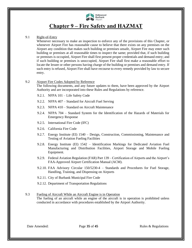

### **Chapter 9 – Fire Safety and HAZMAT**

#### <span id="page-34-0"></span>9.1 Right-of-Entry

<span id="page-34-1"></span>Whenever necessary to make an inspection to enforce any of the provisions of this Chapter, or whenever Airport Fire has reasonable cause to believe that there exists on any premises on the Airport any condition that makes such building or premises unsafe, Airport Fire may enter such building or premises at all reasonable times to inspect the same; provided that, if such building or premises is occupied, Airport Fire shall first present proper credentials and demand entry; and if such building or premises is unoccupied, Airport Fire shall first make a reasonable effort to locate the lessee or other persons having charge of the building or premises and demand entry. If such entry is refused, Airport Fire shall have recourse to every remedy provided by law to secure entry.

#### <span id="page-34-2"></span>9.2 Airport Fire Codes Adopted by Reference

The following documents, and any future updates to them, have been approved by the Airport Authority and are incorporated into these Rules and Regulations by reference.

- 9.2.1. NFPA 101 Life Safety Code
- 9.2.2. NFPA 407 Standard for Aircraft Fuel Serving
- 9.2.3. NFPA 410 Standard on Aircraft Maintenance
- 9.2.4. NFPA 704 Standard System for the Identification of the Hazards of Materials for Emergency Response
- 9.2.5. International Fire Code (IFC)
- 9.2.6. California Fire Code
- 9.2.7. Energy Institute (EI) 1540 Design, Construction, Commissioning, Maintenance and Testing of Aviation Fueling Facilities
- 9.2.8. Energy Institute (EI) 1542 Identification Markings for Dedicated Aviation Fuel Manufacturing and Distribution Facilities, Airport Storage and Mobile Fueling Equipment.
- 9.2.9. Federal Aviation Regulation (FAR) Part 139 Certification of Airports and the Airport's FAA-Approved Airport Certification Manual (ACM).
- 9.2.10. FAA Advisory Circular 150/5230-4 Standards and Procedures for Fuel Storage, Handling, Training, and Dispensing on Airports
- 9.2.11. City of Burbank Municipal Fire Code
- 9.2.12. Department of Transportation Regulations
- <span id="page-34-3"></span>9.3 Fueling of Aircraft While an Aircraft Engine is in Operation The fueling of an aircraft while an engine of the aircraft is in operation is prohibited unless conducted in accordance with procedures established by the Airport Authority.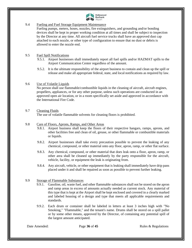

#### <span id="page-35-0"></span>9.4 Fueling and Fuel Storage Equipment Maintenance

Fueling pumps, meters, hoses, nozzles, fire extinguishers, and grounding and/or bonding devices shall be kept in proper working condition at all times and shall be subject to inspection by the Director at any time. All aircraft fuel service trucks shall have an approved dust cap attached to each nozzle, or other type of configuration to ensure that no dust or debris is allowed to enter the nozzle end.

#### <span id="page-35-1"></span>9.5 Fuel Spill Notifications

- 9.5.1. Airport businesses shall immediately report all fuel spills and/or HAZMAT spills to the Airport Communication Center regardless of the amount.
- 9.5.2. It is the ultimate responsibility of the airport business to contain and clean up the spill or release and make all appropriate federal, state, and local notifications as required by law.

#### <span id="page-35-2"></span>9.6 Use of Volatile Liquids

No person shall use flammable/combustible liquids in the cleaning of aircraft, aircraft engines, propellers, appliances, or for any other purpose, unless such operations are conducted in an approved open air location, or in a room specifically set aside and approved in accordance with the International Fire Code.

#### <span id="page-35-3"></span>9.7 Cleaning Fluids

The use of volatile flammable solvents for cleaning floors is prohibited.

#### <span id="page-35-4"></span>9.8 Care of Floors, Aprons, Ramps, and Other Areas

- 9.8.1. Airport business shall keep the floors of their respective hangars, ramps, aprons, and other facilities free and clean of oil, grease, or other flammable or combustible materials or liquids.
- 9.8.2. Airport businesses shall take every precaution possible to prevent the leaking of any chemical, compound, or other material onto any floor, apron, ramp, or other flat surface.
- 9.8.3. Any chemical, compound, or other material that does leak onto a floor, apron, ramp, or other area shall be cleaned up immediately by the party responsible for the aircraft, vehicle, facility, or equipment the leak is originating from.
- 9.8.4. Any aircraft, vehicle, or other equipment that is leaking shall immediately have drip pans placed under it and shall be repaired as soon as possible to prevent further leaking.

#### <span id="page-35-5"></span>9.9 Storage of Flammable Substances

- 9.9.1. Gasoline, oil, waste fuel, and other flammable substances shall not be stored on the apron and ramp areas in excess of amounts actually needed as current stock. Any material of this type that is kept at the Airport shall be kept enclosed and covered in a clearly marked and labeled housing of a design and type that meets all applicable requirements and standards.
- 9.9.2. Each drum or container shall be labeled in letters at least 3 inches high with "No Smoking," "Flammable," and the tenant's name. Drums shall be stored on a spill pallet or by some other means, approved by the Director, of containing any potential spill of the largest amount anticipated.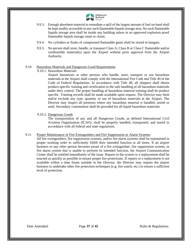

- 9.9.3. Enough absorbent material to remediate a spill of the largest amount of fuel on hand shall be kept readily accessible to any such flammable liquids storage area. No such flammable liquids storage area shall be inside any building unless in an approved explosion proof flammable liquids storage room or closet.
- 9.9.4. No cylinders or flasks of compressed flammable gases shall be stored in hangars.
- 9.9.5. No person shall store, handle, or transport Class A, Class B or Class C flammable and/or combustible material(s) upon the Airport without prior approval from the Airport Authority.

#### <span id="page-36-0"></span>9.10 Hazardous Materials and Dangerous Good Requirements

9.10.1. Hazardous Materials

Airport businesses or other persons who handle, store, transport or use hazardous materials at the Airport shall comply with the International Fire Code and Title 49 of the Code of Federal Regulations. In accordance with Title 49, all shippers shall obtain product-specific training and certification in the safe handling of all hazardous materials under their control. The proper handling of hazardous material training shall be product specific. Training records shall be made available upon request. The Director may limit and/or exclude any type, quantity or use of hazardous materials at the Airport. The Director may inspect all premises where any hazardous material is handled, stored or used. Secondary containment shall be provided for all liquid hazardous materials.

9.10.2. Dangerous Goods

The transportation of any and all Dangerous Goods, as defined International Civil Aviation Organization (ICAO), shall be properly handled, transported, and stored in accordance with all federal and state regulations.

#### <span id="page-36-1"></span>9.11 Proper Maintenance of Fire Extinguishers and Fire Suppression or Alarm Systems

All fire extinguishers, fire suppression systems, and/or fire alarm systems shall be maintained in proper working order to sufficiently fulfill their intended function at all times. If an airport business or any other person becomes aware of a fire extinguisher, fire suppression system, or fire alarm system that is unable to perform its intended function, the Airport Communication Center shall be notified immediately of the issue. Repairs to the system or a replacement shall be enacted as quickly as possible to ensure proper fire protections. If repairs or a replacement is not available within a time frame suitable to the Director, the Director may require the airport business to undertake other fire protection techniques (e.g. fire watch, etc.) to ensure a sufficient level of protection.

Date Amended: Page 37 of 45 Rules & Regulations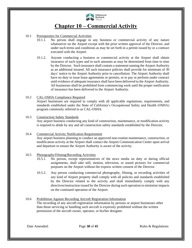

### **Chapter 10 – Commercial Activity**

#### <span id="page-37-0"></span>10.1 Prerequisites for Commercial Activities

- <span id="page-37-1"></span>10.1.1. No person shall engage in any business or commercial activity of any nature whatsoever on the Airport except with the prior written approval of the Director, and under such terms and conditions as may be set forth in a permit issued by or a contract executed with the Airport.
- 10.1.2. Anyone conducting a business or commercial activity at the Airport shall obtain insurance of such types and in such amounts as may be determined from time to time by the Director. Such insurance shall contain a statement naming the Airport Authority as an additional insured. All such insurance policies shall provide for minimum of 30 days' notice to the Airport Authority prior to cancellation. The Airport Authority shall have no duty to issue lease agreements or permits, or to pay or perform under contract until evidence of adequate insurance shall have been delivered to the Airport Authority. All businesses shall be prohibited from commencing work until the proper notification of insurance has been delivered to the Airport Authority.
- <span id="page-37-2"></span>10.2 CAL-OSHA Compliance Required Airport businesses are required to comply with all applicable regulations, requirements, and standards established under the State of California's Occupational Safety and Health (OSHA) program commonly referred to as CAL-OSHA.

#### <span id="page-37-3"></span>10.3 Construction Safety Standards Any airport business conducting any kind of construction, maintenance, or modification activity is required to abide by any and all construction safety standards established by the Director.

#### <span id="page-37-4"></span>10.4 Commercial Activity Notification Requirement Any airport business planning to conduct an approved non-routine maintenance, construction, or modification activity at the Airport shall contact the Airport Communication Center upon arrival and departure to ensure the Airport Authority is aware of the activity.

#### <span id="page-37-5"></span>10.5 Photography/Filming/Recording Activities

- 10.5.1. No person, except representatives of the news media on duty or during official assignments, shall take still, motion, television, or sound pictures for commercial purposes on the Airport without the express written consent of the Director.
- 10.5.2. Any person conducting commercial photography, filming, or recording activities of any kind of Airport property shall comply with all policies and standards established by the Director related to the activity and shall immediately comply with any directives/instruction issued by the Director during such operation to minimize impacts on the continued operation of the Airport.

#### <span id="page-37-6"></span>10.6 Prohibition Against Recording Aircraft Registration Information The recording of any aircraft registration information by persons or airport businesses other than those servicing or handling such aircraft is expressly prohibited without the written permission of the aircraft owner, operator, or his/her designee.

Date Amended: Page 38 of 45 Rules & Regulations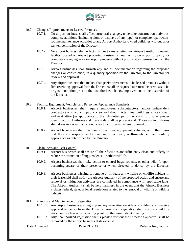

#### <span id="page-38-0"></span>10.7 Changes/Improvements to Leased Premises

- 10.7.1. No airport business shall effect structural changes, undertake construction activities, complete additions (including signs or displays of any type), or complete repairs/nonroutine maintenance activities to any Airport Authority-owned buildings without prior written permission of the Director.
- 10.7.2. No airport business shall effect changes to any existing non-Airport Authority owned facility located on Airport property, construct a new facility on airport property, or complete surveying work on airport property without prior written permission from the Director.
- 10.7.3. Airport businesses shall furnish any and all documentation regarding the proposed changes or construction, in a quantity specified by the Director, to the Director for review and approval.
- 10.7.4. Any airport business that makes changes/improvements to its leased premises without first receiving approval from the Director shall be required to return the premises to its original condition prior to the unauthorized change/improvement at the discretion of the Director.

#### <span id="page-38-1"></span>10.8 Facility, Equipment, Vehicle, and Personnel Appearance Standards

- 10.8.1. Airport businesses shall require employees, subcontractors, and/or independent contractors who work in public view and about the terminal buildings to wear clean and neat attire (as appropriate to the job duties performed) and to display proper identification. Uniforms and dress code shall be professional. Those not in uniforms shall dress in a way that is conducive to a professional environment.
- 10.8.2. Airport businesses shall maintain all facilities, equipment, vehicles, and other items that they are responsible to maintain in a clean, well-maintained, and orderly appearance as determined by the Director.
- <span id="page-38-2"></span>10.9 Cleanliness and Pest Control
	- 10.9.1. Airport businesses shall ensure all their facilities are sufficiently clean and orderly to reduce the attraction of bugs, rodents, or other wildlife.
	- 10.9.2. Airport businesses shall take action to control bugs, rodents, or other wildlife upon becoming aware of their presence or when directed to do so by the Director.
	- 10.9.3. Airport businesses wishing to remove or mitigate any wildlife or wildlife habitats in their leasehold shall notify the Airport Authority of the proposed action and ensure any removal or mitigation activities are completed in compliance with applicable laws. The Airport Authority shall be held harmless in the event that the Airport Business violates federal, state, or local regulations related to the removal of wildlife or wildlife habitats.

#### <span id="page-38-3"></span>10.10 Planting and Maintenance of Vegetation

- 10.10.1. Any airport business wishing to plant any vegetation outside of a building shall receive approval to do so from the Director. Any such vegetation shall not be a wildlife attractant, such as a fruit-bearing plant or otherwise habitat creating.
- 10.10.2. Any unauthorized vegetation that is planted without the Director's approval shall be removed by the airport business at its expense.

Date Amended: Page 39 of 45 Rules & Regulations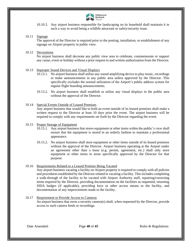

10.10.3. Any airport business responsible for landscaping on its leasehold shall maintain it in such a way to avoid being a wildlife attractant or safety/security issue.

#### <span id="page-39-0"></span>10.11 Signage

The approval of the Director is required prior to the posting, installation, or establishment of any signage on Airport property in public view.

#### <span id="page-39-1"></span>10.12 Decorations

No airport business shall decorate any public view area to celebrate, commemorate or support any cause, event or holiday without a prior request to and written authorization from the Director.

#### <span id="page-39-2"></span>10.13 Improper Sound Devices and Visual Displays

- 10.13.1. No airport business shall utilize any sound amplifying device to play music, recordings or make announcements in any public area unless approved by the Director. This specifically excludes the normal utilization of the Airport's public address system for regular flight boarding announcements.
- 10.13.2. No airport business shall establish or utilize any visual displays in the public area without the approval of the Director.

#### <span id="page-39-3"></span>10.14 Special Events Outside of Leased Premises

Any airport business that would like to hold an event outside of its leased premises shall make a written request to the Director at least 10 days prior the event. The airport business will be required to comply with any requirements set forth by the Director regarding the event.

#### <span id="page-39-4"></span>10.15 Proper Storage of Equipment

- 10.15.1. Any airport business that stores equipment or other items within the public's view shall ensure that the equipment is stored in an orderly fashion to maintain a professional appearance.
- 10.15.2. No airport business shall store equipment or other items outside of its leased premises without the approval of the Director. Airport business operating at the Airport under an agreement other than a lease (e.g. permit, agreement, etc.) shall only store equipment or other items in areas specifically approved by the Director for that purpose.

#### <span id="page-39-5"></span>10.16 Requirements Related to a Leased Premise Being Vacated

Any airport business vacating a facility on Airport property is required to comply with all policies and procedures established by the Director related to vacating a facility. This includes completing a walk-through of the facility to be vacated with Airport Authority staff, repairing/correcting items required by the Director, providing documentation on the facilities as requested, returning SIDA badges (if applicable), providing keys or other access means to the facility, and documentation of any improvements made to the facility.

#### <span id="page-39-6"></span>10.17 Requirement to Provide Access to Cameras An airport business that owns a security camera(s) shall, when requested by the Director, provide access to such camera feeds or recordings.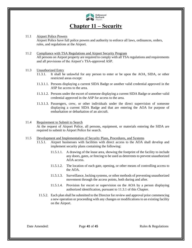

### **Chapter 11 – Security**

#### <span id="page-40-0"></span>11.1 Airport Police Powers

<span id="page-40-1"></span>Airport Police have full police powers and authority to enforce all laws, ordinances, orders, rules, and regulations at the Airport.

#### <span id="page-40-2"></span>11.2 Compliance with TSA Regulations and Airport Security Program All persons on Airport property are required to comply with all TSA regulations and requirements and all provisions of the Airport's TSA-approved ASP.

#### <span id="page-40-3"></span>11.3 Unauthorized Entry

- 11.3.1. It shall be unlawful for any person to enter or be upon the AOA, SIDA, or other restricted areas except:
- 11.3.1.1. Persons displaying a current SIDA Badge or another valid credential approved in the ASP for access to the area.
- 11.3.1.2. Persons under the escort of someone displaying a current SIDA Badge or another valid credential approved in the ASP for access to the area.
- 11.3.1.3. Passengers, crew, or other individuals under the direct supervision of someone displaying a current SIDA Badge and that are entering the AOA for purpose of embarkation or debarkation of an aircraft.

#### <span id="page-40-4"></span>11.4 Requirement to Submit to Search

At the request of Airport Police, all persons, equipment, or materials entering the SIDA are required to submit to Airport Police for search.

#### <span id="page-40-5"></span>11.5 Development and Implementation of Security Plans, Procedures, and Systems

- 11.5.1. Airport businesses with facilities with direct access to the AOA shall develop and implement security plans containing the following:
	- 11.5.1.1. A drawing of the lease area, showing the footprint of the facility to include any doors, gates, or fencing to be used as deterrents to prevent unauthorized AOA access.
	- 11.5.1.2. The location of each gate, opening, or other means of controlling access to the AOA.
	- 11.5.1.3. Surveillance, locking systems, or other methods of preventing unauthorized movement through the access points, both during and after.
	- 11.5.1.4. Provision for escort or supervision on the AOA by a person displaying authorized identification, pursuant to 11.3.1 of this Chapter.
- 11.5.2. Each plan shall be submitted to the Director for review and approval prior commencing a new operation or proceeding with any changes or modifications to an existing facility on the Airport.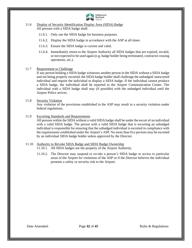

#### <span id="page-41-0"></span>11.6 Display of Security Identification Display Area (SIDA) Badge All persons with a SIDA badge shall:

- 11.6.1. Only use the SIDA badge for business purposes.
- 11.6.2. Display the SIDA badge in accordance with the ASP at all times.
- 11.6.3. Ensure the SIDA badge is current and valid.
- 11.6.4. Immediately return to the Airport Authority all SIDA badges that are expired, invalid, or not expected to be used again (e.g. badge holder being terminated, contractor ceasing operations, etc.).

#### <span id="page-41-1"></span>11.7 Requirement to Challenge

If any person holding a SIDA badge witnesses another person in the SIDA without a SIDA badge and not being properly escorted, the SIDA badge holder shall challenge the unbadged/ unescorted individual and require the individual to display a SIDA badge. If the individual cannot produce a SIDA badge, the individual shall be reported to the Airport Communication Center. The individual with a SIDA badge shall stay (if possible) with the unbadged individual until the Airport Police arrives.

#### <span id="page-41-2"></span>11.8 Security Violation

Any violation of the provisions established in the ASP may result in a security violation under federal regulations.

#### <span id="page-41-3"></span>11.9 Escorting Standards and Requirements

All persons within the SIDA without a valid SIDA badge shall be under the escort of an individual with a valid SIDA badge. The person with a valid SIDA badge that is escorting an unbadged individual is responsible for ensuring that the unbadged individual is escorted in compliance with the requirements established under the Airport's ASP. No more than five persons may be escorted by an individual SIDA badge holder unless approved by the Director.

#### <span id="page-41-4"></span>11.10 Authority to Revoke SIDA Badge and SIDA Badge Ownership

11.10.1. All SIDA badges are the property of the Airport Authority.

11.10.2. The Director may suspend or revoke a person's SIDA badge or access to particular areas of the Airport for violations of the ASP or if the Director believes the individual presents a safety or security risk to the Airport.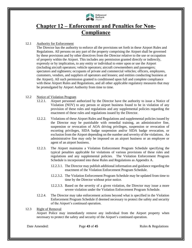

### <span id="page-42-0"></span>**Chapter 12 – Enforcement and Penalties for Non-Compliance**

#### 12.1 Authority for Enforcement

<span id="page-42-1"></span>The Director has the authority to enforce all the provisions set forth in these Airport Rules and Regulations. All persons on any part of the property comprising the Airport shall be governed by these provisions and by other directives from the Director relative to the use or occupation of property within the Airport. This includes any permission granted directly or indirectly, expressly or by implication, to any entity or individual to enter upon or use the Airport (including aircraft operators; vehicle operators; aircraft crewmembers and passengers; spectators and sightseers; occupants of private and commercial vehicles; officers, employees, customers, vendors, and suppliers of operators and lessees; and entities conducting business at the Airport). All such permission granted is conditioned upon full and complete compliance with these Airport Rules and Regulations, and all other applicable regulatory measures that may be promulgated by Airport Authority from time to time.

#### <span id="page-42-2"></span>12.2 Notice of Violation Program

- 12.2.1. Airport personnel authorized by the Director have the authority to issue a Notice of Violation (NOV) to any person or airport business found to be in violation of any provision of these rules and regulations and any supplemental policies regarding the enactment of these rules and regulations issued by the Director.
- 12.2.2. Violations of these Airport Rules and Regulations and supplemental policies issued by the Director may be punishable with remedial training, an administrative fine, suspension or revocation of AOA driving privileges, suspension or revocation of escorting privileges, SIDA badge suspension and/or SIDA badge revocation, or exclusion from the Airport depending on the number and severity of the violations. An administrative fine may only be imposed on an airport business or an employee or agent of an airport business.
- 12.2.3. The Airport maintains a Violation Enforcement Program Schedule specifying the typical penalties applicable for violations of various provisions of these rules and regulations and any supplemental policies. The Violation Enforcement Program Schedule is incorporated into these Rules and Regulations as Appendix A.
	- 12.2.3.1. The Director may publish additional information and guidance regarding the enactment of the Violation Enforcement Program Schedule.
	- 12.2.3.2. The Violation Enforcement Program Schedule may be updated from time to time by the Director without prior notice.
	- 12.2.3.3. Based on the severity of a given violation, the Director may issue a more severe violation under the Violation Enforcement Program Schedule.
- 12.2.4. The Director may take enforcement actions beyond what is specified in the Violation Enforcement Program Schedule if deemed necessary to protect the safety and security of the Airport's continued operation.

#### <span id="page-42-3"></span>12.3 Right of Removal

Airport Police may immediately remove any individual from the Airport property when necessary to protect the safety and security of the Airport's continued operation.

Date Amended: Page 43 of 45 Rules & Regulations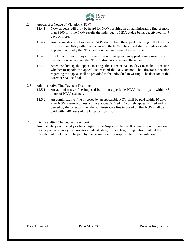

- <span id="page-43-0"></span>12.4 Appeal of a Notice of Violation (NOV)
	- 12.4.1. NOV appeals will only be heard for NOV resulting in an administrative fine of more than \$100 or if the NOV results the individual's SIDA badge being deactivated for 5 days or more.
	- 12.4.2. Any person desiring to appeal an NOV shall submit the appeal in writing to the Director no more than 10 days after the issuance of the NOV. The appeal shall provide a detailed explanation of why the NOV is unfounded and should be overturned.
	- 12.4.3. The Director has 10 days to review the written appeal an appeal review meeting with the person who received the NOV to discuss and review the appeal.
	- 12.4.4. After conducting the appeal meeting, the Director has 10 days to make a decision whether to uphold the appeal and rescind the NOV or not. The Director's decision regarding the appeal shall be provided to the individual in writing. The decision of the Director shall be final.

#### <span id="page-43-1"></span>12.5 Administrative Fine Payment Deadline.

- 12.5.1. An administrative fine imposed by a non-appealable NOV shall be paid within 48 hours of NOV issuance.
- 12.5.2. An administrative fine imposed by an appealable NOV shall be paid within 10 days after NOV issuance unless a timely appeal is filed. If a timely appeal is filed and is denied by the Director, then the administrative fine imposed by that NOV shall be paid within 48 hours of the Director's decision.

#### <span id="page-43-2"></span>12.6 Civil Penalties Charged to the Airport

Any monetary civil penalty or fee charged to the Airport as the result of any action or inaction by any person or entity that violates a federal, state, or local law, or regulation shall, at the discretion of the Director, be paid by the person or entity responsible for the violation.